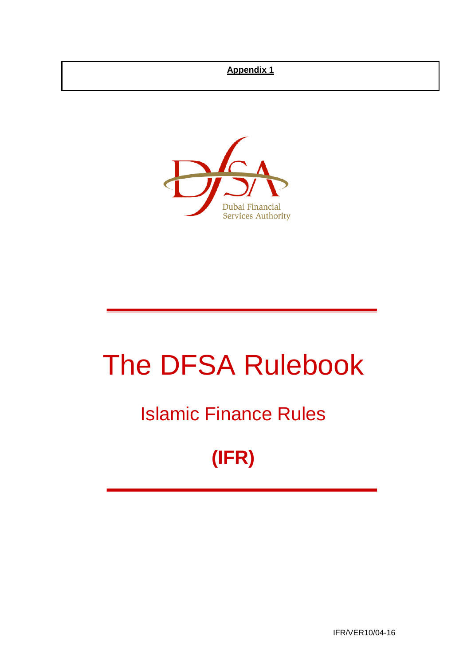## **Appendix 1**



# The DFSA Rulebook

## Islamic Finance Rules

## **(IFR)**

IFR/VER10/04-16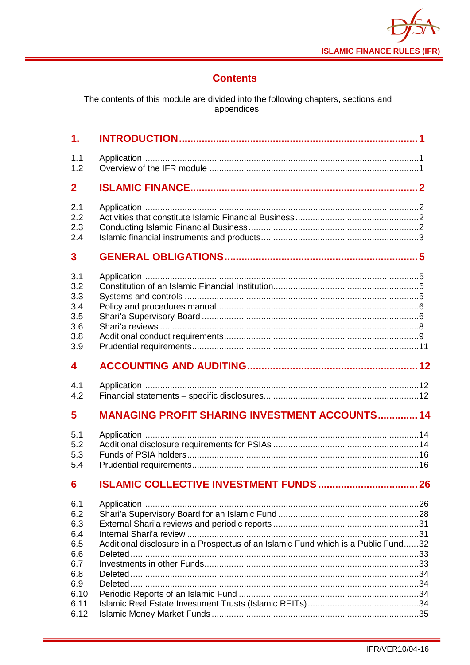

## **Contents**

The contents of this module are divided into the following chapters, sections and<br>appendices:

| $\mathbf{1}$ .                                       |                                                       |    |
|------------------------------------------------------|-------------------------------------------------------|----|
| 1.1<br>1.2                                           |                                                       |    |
| $\overline{2}$                                       |                                                       |    |
| 2.1<br>2.2<br>2.3<br>2.4                             |                                                       |    |
| 3                                                    |                                                       |    |
| 3.1<br>3.2<br>3.3<br>3.4<br>3.5<br>3.6<br>3.8<br>3.9 |                                                       |    |
| 4                                                    |                                                       |    |
| 4.1                                                  |                                                       |    |
| 4.2                                                  |                                                       |    |
| 5                                                    | <b>MANAGING PROFIT SHARING INVESTMENT ACCOUNTS 14</b> |    |
| 5.1<br>5.2<br>5.3<br>5.4                             |                                                       |    |
| 6                                                    |                                                       | 26 |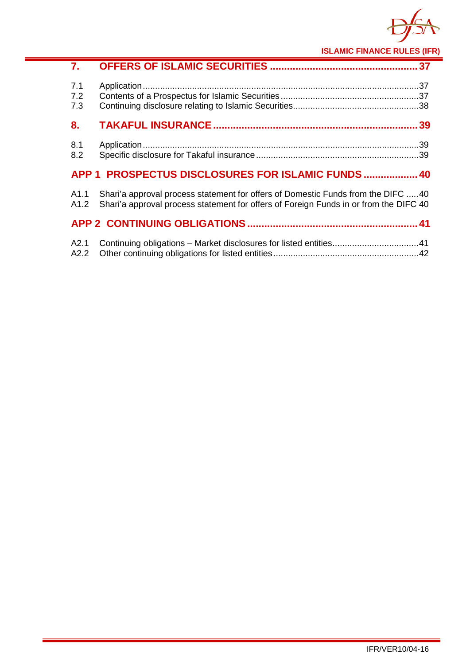

**ISLAMIC FINANCE RULES (IFR)**

| 7.                |                                                                                                                                                                           |  |
|-------------------|---------------------------------------------------------------------------------------------------------------------------------------------------------------------------|--|
| 7.1<br>7.2<br>7.3 |                                                                                                                                                                           |  |
| 8.                |                                                                                                                                                                           |  |
| 8.1<br>8.2        |                                                                                                                                                                           |  |
|                   | APP 1 PROSPECTUS DISCLOSURES FOR ISLAMIC FUNDS  40                                                                                                                        |  |
| A1.1<br>A1.2      | Shari'a approval process statement for offers of Domestic Funds from the DIFC 40<br>Shari'a approval process statement for offers of Foreign Funds in or from the DIFC 40 |  |
|                   |                                                                                                                                                                           |  |
| A2.1<br>A2.2      |                                                                                                                                                                           |  |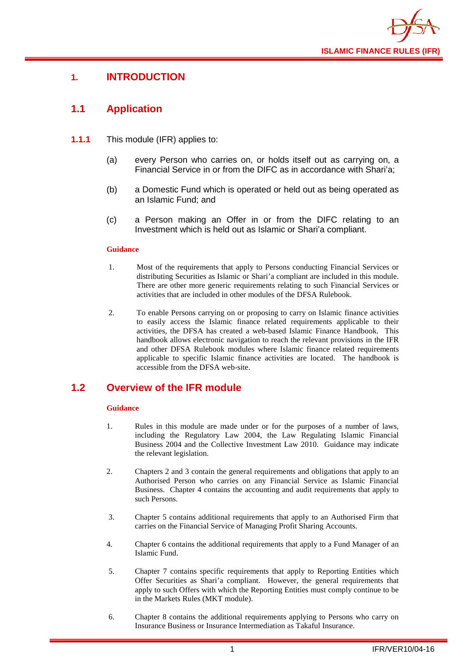

## <span id="page-3-0"></span>**1. INTRODUCTION**

## <span id="page-3-1"></span>**1.1 Application**

- **1.1.1** This module (IFR) applies to:
	- (a) every Person who carries on, or holds itself out as carrying on, a Financial Service in or from the DIFC as in accordance with Shari'a;
	- (b) a Domestic Fund which is operated or held out as being operated as an Islamic Fund; and
	- (c) a Person making an Offer in or from the DIFC relating to an Investment which is held out as Islamic or Shari'a compliant.

#### **Guidance**

- 1. Most of the requirements that apply to Persons conducting Financial Services or distributing Securities as Islamic or Shari'a compliant are included in this module. There are other more generic requirements relating to such Financial Services or activities that are included in other modules of the DFSA Rulebook.
- 2. To enable Persons carrying on or proposing to carry on Islamic finance activities to easily access the Islamic finance related requirements applicable to their activities, the DFSA has created a web-based Islamic Finance Handbook. This handbook allows electronic navigation to reach the relevant provisions in the IFR and other DFSA Rulebook modules where Islamic finance related requirements applicable to specific Islamic finance activities are located. The handbook is accessible from the DFSA web-site.

## <span id="page-3-2"></span>**1.2 Overview of the IFR module**

#### **Guidance**

- 1. Rules in this module are made under or for the purposes of a number of laws, including the Regulatory Law 2004, the Law Regulating Islamic Financial Business 2004 and the Collective Investment Law 2010. Guidance may indicate the relevant legislation.
- 2. Chapters 2 and 3 contain the general requirements and obligations that apply to an Authorised Person who carries on any Financial Service as Islamic Financial Business. Chapter 4 contains the accounting and audit requirements that apply to such Persons.
- 3. Chapter 5 contains additional requirements that apply to an Authorised Firm that carries on the Financial Service of Managing Profit Sharing Accounts.
- 4. Chapter 6 contains the additional requirements that apply to a Fund Manager of an Islamic Fund.
- 5. Chapter 7 contains specific requirements that apply to Reporting Entities which Offer Securities as Shari'a compliant. However, the general requirements that apply to such Offers with which the Reporting Entities must comply continue to be in the Markets Rules (MKT module).
- 6. Chapter 8 contains the additional requirements applying to Persons who carry on Insurance Business or Insurance Intermediation as Takaful Insurance.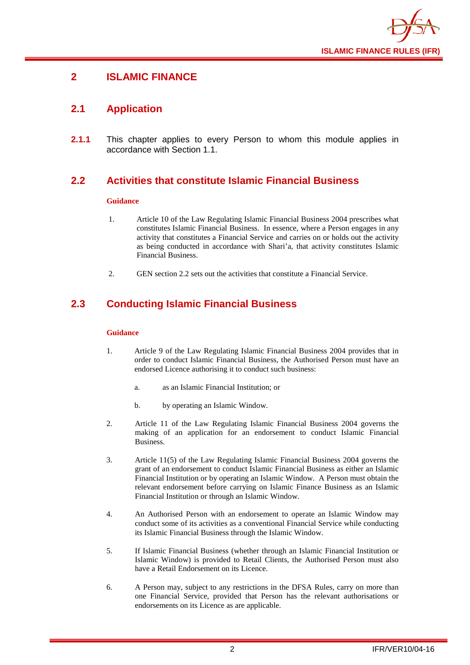

## <span id="page-4-0"></span>**2 ISLAMIC FINANCE**

## <span id="page-4-1"></span>**2.1 Application**

**2.1.1** This chapter applies to every Person to whom this module applies in accordance with Section 1.1.

## <span id="page-4-2"></span>**2.2 Activities that constitute Islamic Financial Business**

#### **Guidance**

- 1. Article 10 of the Law Regulating Islamic Financial Business 2004 prescribes what constitutes Islamic Financial Business. In essence, where a Person engages in any activity that constitutes a Financial Service and carries on or holds out the activity as being conducted in accordance with Shari'a, that activity constitutes Islamic Financial Business.
- 2. GEN section 2.2 sets out the activities that constitute a Financial Service.

## <span id="page-4-3"></span>**2.3 Conducting Islamic Financial Business**

#### **Guidance**

- 1. Article 9 of the Law Regulating Islamic Financial Business 2004 provides that in order to conduct Islamic Financial Business, the Authorised Person must have an endorsed Licence authorising it to conduct such business:
	- a. as an Islamic Financial Institution; or
	- b. by operating an Islamic Window.
- 2. Article 11 of the Law Regulating Islamic Financial Business 2004 governs the making of an application for an endorsement to conduct Islamic Financial Business.
- 3. Article 11(5) of the Law Regulating Islamic Financial Business 2004 governs the grant of an endorsement to conduct Islamic Financial Business as either an Islamic Financial Institution or by operating an Islamic Window. A Person must obtain the relevant endorsement before carrying on Islamic Finance Business as an Islamic Financial Institution or through an Islamic Window.
- 4. An Authorised Person with an endorsement to operate an Islamic Window may conduct some of its activities as a conventional Financial Service while conducting its Islamic Financial Business through the Islamic Window.
- 5. If Islamic Financial Business (whether through an Islamic Financial Institution or Islamic Window) is provided to Retail Clients, the Authorised Person must also have a Retail Endorsement on its Licence.
- 6. A Person may, subject to any restrictions in the DFSA Rules, carry on more than one Financial Service, provided that Person has the relevant authorisations or endorsements on its Licence as are applicable.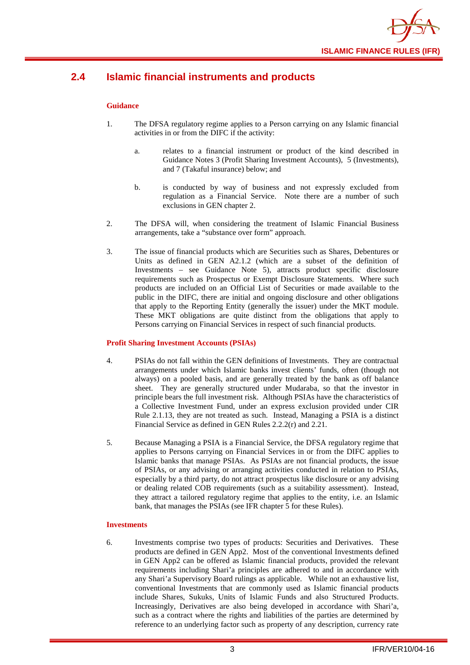

## <span id="page-5-0"></span>**2.4 Islamic financial instruments and products**

#### **Guidance**

- 1. The DFSA regulatory regime applies to a Person carrying on any Islamic financial activities in or from the DIFC if the activity:
	- a. relates to a financial instrument or product of the kind described in Guidance Notes 3 (Profit Sharing Investment Accounts), 5 (Investments), and 7 (Takaful insurance) below; and
	- b. is conducted by way of business and not expressly excluded from regulation as a Financial Service. Note there are a number of such exclusions in GEN chapter 2.
- 2. The DFSA will, when considering the treatment of Islamic Financial Business arrangements, take a "substance over form" approach.
- 3. The issue of financial products which are Securities such as Shares, Debentures or Units as defined in GEN A2.1.2 (which are a subset of the definition of Investments – see Guidance Note 5), attracts product specific disclosure requirements such as Prospectus or Exempt Disclosure Statements. Where such products are included on an Official List of Securities or made available to the public in the DIFC, there are initial and ongoing disclosure and other obligations that apply to the Reporting Entity (generally the issuer) under the MKT module. These MKT obligations are quite distinct from the obligations that apply to Persons carrying on Financial Services in respect of such financial products.

#### **Profit Sharing Investment Accounts (PSIAs)**

- 4. PSIAs do not fall within the GEN definitions of Investments. They are contractual arrangements under which Islamic banks invest clients' funds, often (though not always) on a pooled basis, and are generally treated by the bank as off balance sheet. They are generally structured under Mudaraba, so that the investor in principle bears the full investment risk. Although PSIAs have the characteristics of a Collective Investment Fund, under an express exclusion provided under CIR Rule 2.1.13, they are not treated as such. Instead, Managing a PSIA is a distinct Financial Service as defined in GEN Rules 2.2.2(r) and 2.21.
- 5. Because Managing a PSIA is a Financial Service, the DFSA regulatory regime that applies to Persons carrying on Financial Services in or from the DIFC applies to Islamic banks that manage PSIAs. As PSIAs are not financial products, the issue of PSIAs, or any advising or arranging activities conducted in relation to PSIAs, especially by a third party, do not attract prospectus like disclosure or any advising or dealing related COB requirements (such as a suitability assessment). Instead, they attract a tailored regulatory regime that applies to the entity, i.e. an Islamic bank, that manages the PSIAs (see IFR chapter 5 for these Rules).

#### **Investments**

6. Investments comprise two types of products: Securities and Derivatives. These products are defined in GEN App2. Most of the conventional Investments defined in GEN App2 can be offered as Islamic financial products, provided the relevant requirements including Shari'a principles are adhered to and in accordance with any Shari'a Supervisory Board rulings as applicable. While not an exhaustive list, conventional Investments that are commonly used as Islamic financial products include Shares, Sukuks, Units of Islamic Funds and also Structured Products. Increasingly, Derivatives are also being developed in accordance with Shari'a, such as a contract where the rights and liabilities of the parties are determined by reference to an underlying factor such as property of any description, currency rate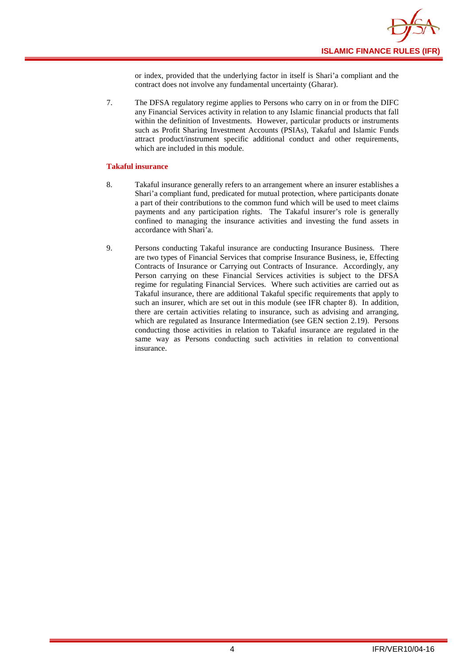or index, provided that the underlying factor in itself is Shari'a compliant and the contract does not involve any fundamental uncertainty (Gharar).

7. The DFSA regulatory regime applies to Persons who carry on in or from the DIFC any Financial Services activity in relation to any Islamic financial products that fall within the definition of Investments. However, particular products or instruments such as Profit Sharing Investment Accounts (PSIAs), Takaful and Islamic Funds attract product/instrument specific additional conduct and other requirements, which are included in this module.

#### **Takaful insurance**

- 8. Takaful insurance generally refers to an arrangement where an insurer establishes a Shari'a compliant fund, predicated for mutual protection, where participants donate a part of their contributions to the common fund which will be used to meet claims payments and any participation rights. The Takaful insurer's role is generally confined to managing the insurance activities and investing the fund assets in accordance with Shari'a.
- 9. Persons conducting Takaful insurance are conducting Insurance Business. There are two types of Financial Services that comprise Insurance Business, ie, Effecting Contracts of Insurance or Carrying out Contracts of Insurance. Accordingly, any Person carrying on these Financial Services activities is subject to the DFSA regime for regulating Financial Services. Where such activities are carried out as Takaful insurance, there are additional Takaful specific requirements that apply to such an insurer, which are set out in this module (see IFR chapter 8). In addition, there are certain activities relating to insurance, such as advising and arranging, which are regulated as Insurance Intermediation (see GEN section 2.19). Persons conducting those activities in relation to Takaful insurance are regulated in the same way as Persons conducting such activities in relation to conventional insurance.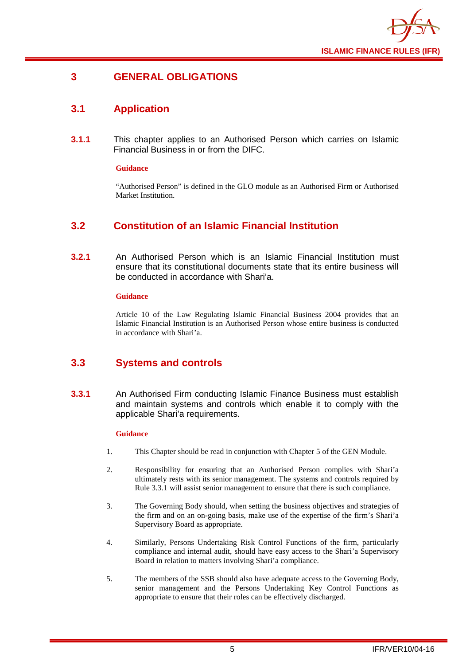

## <span id="page-7-0"></span>**3 GENERAL OBLIGATIONS**

## <span id="page-7-1"></span>**3.1 Application**

**3.1.1** This chapter applies to an Authorised Person which carries on Islamic Financial Business in or from the DIFC.

#### **Guidance**

"Authorised Person" is defined in the GLO module as an Authorised Firm or Authorised Market Institution.

## <span id="page-7-2"></span>**3.2 Constitution of an Islamic Financial Institution**

**3.2.1** An Authorised Person which is an Islamic Financial Institution must ensure that its constitutional documents state that its entire business will be conducted in accordance with Shari'a.

#### **Guidance**

Article 10 of the Law Regulating Islamic Financial Business 2004 provides that an Islamic Financial Institution is an Authorised Person whose entire business is conducted in accordance with Shari'a.

## <span id="page-7-3"></span>**3.3 Systems and controls**

**3.3.1** An Authorised Firm conducting Islamic Finance Business must establish and maintain systems and controls which enable it to comply with the applicable Shari'a requirements.

#### **Guidance**

- 1. This Chapter should be read in conjunction with Chapter 5 of the GEN Module.
- 2. Responsibility for ensuring that an Authorised Person complies with Shari'a ultimately rests with its senior management. The systems and controls required by Rule 3.3.1 will assist senior management to ensure that there is such compliance.
- 3. The Governing Body should, when setting the business objectives and strategies of the firm and on an on-going basis, make use of the expertise of the firm's Shari'a Supervisory Board as appropriate.
- 4. Similarly, Persons Undertaking Risk Control Functions of the firm, particularly compliance and internal audit, should have easy access to the Shari'a Supervisory Board in relation to matters involving Shari'a compliance.
- 5. The members of the SSB should also have adequate access to the Governing Body, senior management and the Persons Undertaking Key Control Functions as appropriate to ensure that their roles can be effectively discharged.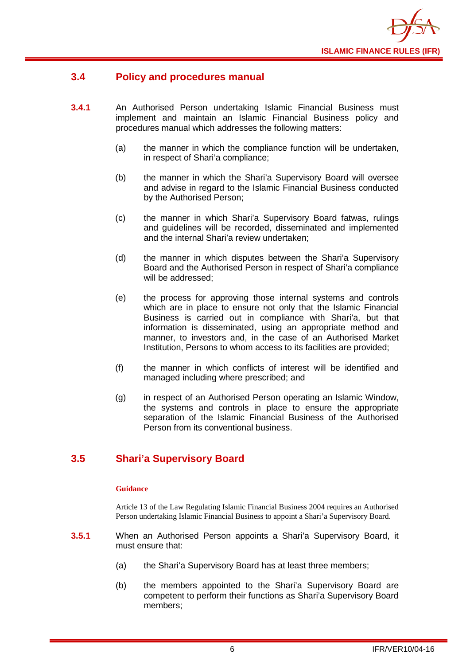

## <span id="page-8-0"></span>**3.4 Policy and procedures manual**

- **3.4.1** An Authorised Person undertaking Islamic Financial Business must implement and maintain an Islamic Financial Business policy and procedures manual which addresses the following matters:
	- (a) the manner in which the compliance function will be undertaken, in respect of Shari'a compliance;
	- (b) the manner in which the Shari'a Supervisory Board will oversee and advise in regard to the Islamic Financial Business conducted by the Authorised Person;
	- (c) the manner in which Shari'a Supervisory Board fatwas, rulings and guidelines will be recorded, disseminated and implemented and the internal Shari'a review undertaken;
	- (d) the manner in which disputes between the Shari'a Supervisory Board and the Authorised Person in respect of Shari'a compliance will be addressed;
	- (e) the process for approving those internal systems and controls which are in place to ensure not only that the Islamic Financial Business is carried out in compliance with Shari'a, but that information is disseminated, using an appropriate method and manner, to investors and, in the case of an Authorised Market Institution, Persons to whom access to its facilities are provided;
	- (f) the manner in which conflicts of interest will be identified and managed including where prescribed; and
	- (g) in respect of an Authorised Person operating an Islamic Window, the systems and controls in place to ensure the appropriate separation of the Islamic Financial Business of the Authorised Person from its conventional business.

## <span id="page-8-1"></span>**3.5 Shari'a Supervisory Board**

#### **Guidance**

Article 13 of the Law Regulating Islamic Financial Business 2004 requires an Authorised Person undertaking Islamic Financial Business to appoint a Shari'a Supervisory Board.

- **3.5.1** When an Authorised Person appoints a Shari'a Supervisory Board, it must ensure that:
	- (a) the Shari'a Supervisory Board has at least three members;
	- (b) the members appointed to the Shari'a Supervisory Board are competent to perform their functions as Shari'a Supervisory Board members;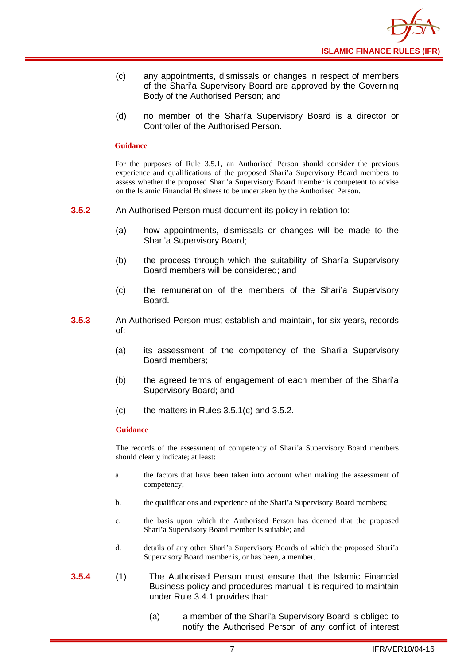

- (c) any appointments, dismissals or changes in respect of members of the Shari'a Supervisory Board are approved by the Governing Body of the Authorised Person; and
- (d) no member of the Shari'a Supervisory Board is a director or Controller of the Authorised Person.

#### **Guidance**

For the purposes of Rule 3.5.1, an Authorised Person should consider the previous experience and qualifications of the proposed Shari'a Supervisory Board members to assess whether the proposed Shari'a Supervisory Board member is competent to advise on the Islamic Financial Business to be undertaken by the Authorised Person.

- **3.5.2** An Authorised Person must document its policy in relation to:
	- (a) how appointments, dismissals or changes will be made to the Shari'a Supervisory Board;
	- (b) the process through which the suitability of Shari'a Supervisory Board members will be considered; and
	- (c) the remuneration of the members of the Shari'a Supervisory Board.
- **3.5.3** An Authorised Person must establish and maintain, for six years, records of:
	- (a) its assessment of the competency of the Shari'a Supervisory Board members;
	- (b) the agreed terms of engagement of each member of the Shari'a Supervisory Board; and
	- (c) the matters in Rules 3.5.1(c) and 3.5.2.

#### **Guidance**

The records of the assessment of competency of Shari'a Supervisory Board members should clearly indicate; at least:

- a. the factors that have been taken into account when making the assessment of competency;
- b. the qualifications and experience of the Shari'a Supervisory Board members;
- c. the basis upon which the Authorised Person has deemed that the proposed Shari'a Supervisory Board member is suitable; and
- d. details of any other Shari'a Supervisory Boards of which the proposed Shari'a Supervisory Board member is, or has been, a member.
- **3.5.4** (1) The Authorised Person must ensure that the Islamic Financial Business policy and procedures manual it is required to maintain under Rule 3.4.1 provides that:
	- (a) a member of the Shari'a Supervisory Board is obliged to notify the Authorised Person of any conflict of interest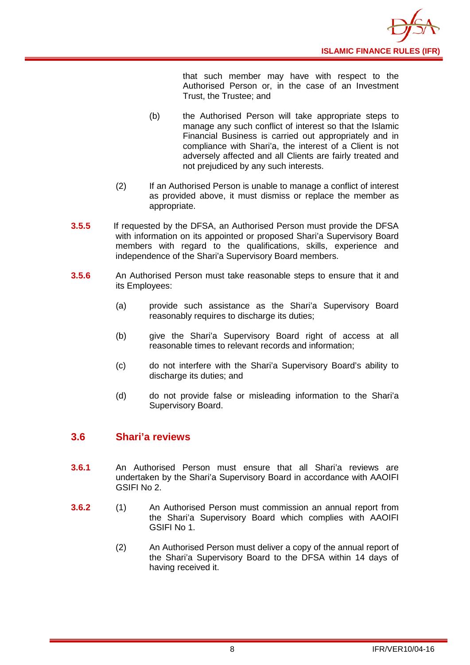

that such member may have with respect to the Authorised Person or, in the case of an Investment Trust, the Trustee; and

- (b) the Authorised Person will take appropriate steps to manage any such conflict of interest so that the Islamic Financial Business is carried out appropriately and in compliance with Shari'a, the interest of a Client is not adversely affected and all Clients are fairly treated and not prejudiced by any such interests.
- (2) If an Authorised Person is unable to manage a conflict of interest as provided above, it must dismiss or replace the member as appropriate.
- **3.5.5** If requested by the DFSA, an Authorised Person must provide the DFSA with information on its appointed or proposed Shari'a Supervisory Board members with regard to the qualifications, skills, experience and independence of the Shari'a Supervisory Board members.
- **3.5.6** An Authorised Person must take reasonable steps to ensure that it and its Employees:
	- (a) provide such assistance as the Shari'a Supervisory Board reasonably requires to discharge its duties;
	- (b) give the Shari'a Supervisory Board right of access at all reasonable times to relevant records and information;
	- (c) do not interfere with the Shari'a Supervisory Board's ability to discharge its duties; and
	- (d) do not provide false or misleading information to the Shari'a Supervisory Board.

## <span id="page-10-0"></span>**3.6 Shari'a reviews**

- **3.6.1** An Authorised Person must ensure that all Shari'a reviews are undertaken by the Shari'a Supervisory Board in accordance with AAOIFI GSIFI No 2.
- **3.6.2** (1) An Authorised Person must commission an annual report from the Shari'a Supervisory Board which complies with AAOIFI GSIFI No 1.
	- (2) An Authorised Person must deliver a copy of the annual report of the Shari'a Supervisory Board to the DFSA within 14 days of having received it.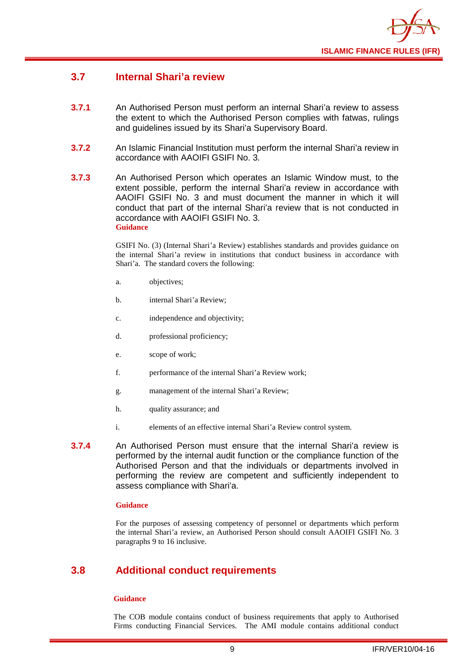

## **3.7 Internal Shari'a review**

- **3.7.1** An Authorised Person must perform an internal Shari'a review to assess the extent to which the Authorised Person complies with fatwas, rulings and guidelines issued by its Shari'a Supervisory Board.
- **3.7.2** An Islamic Financial Institution must perform the internal Shari'a review in accordance with AAOIFI GSIFI No. 3.
- **3.7.3** An Authorised Person which operates an Islamic Window must, to the extent possible, perform the internal Shari'a review in accordance with AAOIFI GSIFI No. 3 and must document the manner in which it will conduct that part of the internal Shari'a review that is not conducted in accordance with AAOIFI GSIFI No. 3. **Guidance**

GSIFI No. (3) (Internal Shari'a Review) establishes standards and provides guidance on the internal Shari'a review in institutions that conduct business in accordance with Shari'a. The standard covers the following:

- a. objectives;
- b. internal Shari'a Review;
- c. independence and objectivity;
- d. professional proficiency;
- e. scope of work;
- f. performance of the internal Shari'a Review work;
- g. management of the internal Shari'a Review;
- h. quality assurance; and
- i. elements of an effective internal Shari'a Review control system.
- **3.7.4** An Authorised Person must ensure that the internal Shari'a review is performed by the internal audit function or the compliance function of the Authorised Person and that the individuals or departments involved in performing the review are competent and sufficiently independent to assess compliance with Shari'a.

#### **Guidance**

For the purposes of assessing competency of personnel or departments which perform the internal Shari'a review, an Authorised Person should consult AAOIFI GSIFI No. 3 paragraphs 9 to 16 inclusive.

## <span id="page-11-0"></span>**3.8 Additional conduct requirements**

#### **Guidance**

The COB module contains conduct of business requirements that apply to Authorised Firms conducting Financial Services. The AMI module contains additional conduct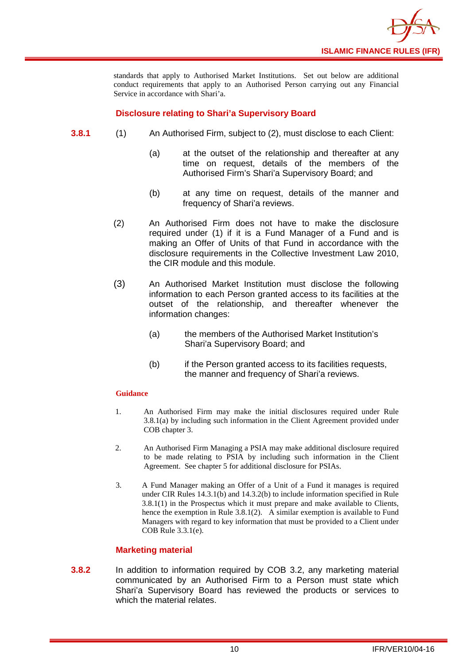

standards that apply to Authorised Market Institutions. Set out below are additional conduct requirements that apply to an Authorised Person carrying out any Financial Service in accordance with Shari'a.

#### **Disclosure relating to Shari'a Supervisory Board**

- **3.8.1** (1) An Authorised Firm, subject to (2), must disclose to each Client:
	- (a) at the outset of the relationship and thereafter at any time on request, details of the members of the Authorised Firm's Shari'a Supervisory Board; and
	- (b) at any time on request, details of the manner and frequency of Shari'a reviews.
	- (2) An Authorised Firm does not have to make the disclosure required under (1) if it is a Fund Manager of a Fund and is making an Offer of Units of that Fund in accordance with the disclosure requirements in the Collective Investment Law 2010, the CIR module and this module.
	- (3) An Authorised Market Institution must disclose the following information to each Person granted access to its facilities at the outset of the relationship, and thereafter whenever the information changes:
		- (a) the members of the Authorised Market Institution's Shari'a Supervisory Board; and
		- (b) if the Person granted access to its facilities requests, the manner and frequency of Shari'a reviews.

#### **Guidance**

- 1. An Authorised Firm may make the initial disclosures required under Rule 3.8.1(a) by including such information in the Client Agreement provided under COB chapter 3.
- 2. An Authorised Firm Managing a PSIA may make additional disclosure required to be made relating to PSIA by including such information in the Client Agreement. See chapter 5 for additional disclosure for PSIAs.
- 3. A Fund Manager making an Offer of a Unit of a Fund it manages is required under CIR Rules 14.3.1(b) and 14.3.2(b) to include information specified in Rule 3.8.1(1) in the Prospectus which it must prepare and make available to Clients, hence the exemption in Rule 3.8.1(2). A similar exemption is available to Fund Managers with regard to key information that must be provided to a Client under COB Rule 3.3.1(e).

#### **Marketing material**

**3.8.2** In addition to information required by COB 3.2, any marketing material communicated by an Authorised Firm to a Person must state which Shari'a Supervisory Board has reviewed the products or services to which the material relates.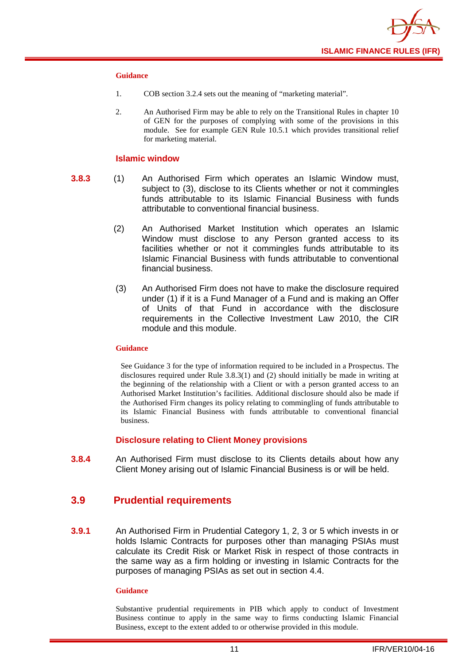

#### **Guidance**

- 1. COB section 3.2.4 sets out the meaning of "marketing material".
- 2. An Authorised Firm may be able to rely on the Transitional Rules in chapter 10 of GEN for the purposes of complying with some of the provisions in this module. See for example GEN Rule 10.5.1 which provides transitional relief for marketing material.

#### **Islamic window**

- **3.8.3** (1) An Authorised Firm which operates an Islamic Window must, subject to (3), disclose to its Clients whether or not it commingles funds attributable to its Islamic Financial Business with funds attributable to conventional financial business.
	- (2) An Authorised Market Institution which operates an Islamic Window must disclose to any Person granted access to its facilities whether or not it commingles funds attributable to its Islamic Financial Business with funds attributable to conventional financial business.
	- (3) An Authorised Firm does not have to make the disclosure required under (1) if it is a Fund Manager of a Fund and is making an Offer of Units of that Fund in accordance with the disclosure requirements in the Collective Investment Law 2010, the CIR module and this module.

#### **Guidance**

See Guidance 3 for the type of information required to be included in a Prospectus. The disclosures required under Rule 3.8.3(1) and (2) should initially be made in writing at the beginning of the relationship with a Client or with a person granted access to an Authorised Market Institution's facilities. Additional disclosure should also be made if the Authorised Firm changes its policy relating to commingling of funds attributable to its Islamic Financial Business with funds attributable to conventional financial business.

#### **Disclosure relating to Client Money provisions**

**3.8.4** An Authorised Firm must disclose to its Clients details about how any Client Money arising out of Islamic Financial Business is or will be held.

#### <span id="page-13-0"></span>**3.9 Prudential requirements**

**3.9.1** An Authorised Firm in Prudential Category 1, 2, 3 or 5 which invests in or holds Islamic Contracts for purposes other than managing PSIAs must calculate its Credit Risk or Market Risk in respect of those contracts in the same way as a firm holding or investing in Islamic Contracts for the purposes of managing PSIAs as set out in section 4.4.

#### **Guidance**

Substantive prudential requirements in PIB which apply to conduct of Investment Business continue to apply in the same way to firms conducting Islamic Financial Business, except to the extent added to or otherwise provided in this module.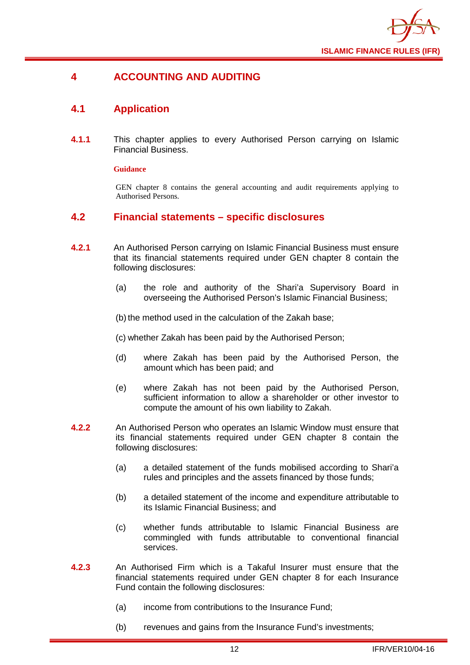

## <span id="page-14-0"></span>**4 ACCOUNTING AND AUDITING**

## <span id="page-14-1"></span>**4.1 Application**

**4.1.1** This chapter applies to every Authorised Person carrying on Islamic Financial Business.

#### **Guidance**

GEN chapter 8 contains the general accounting and audit requirements applying to Authorised Persons.

## <span id="page-14-2"></span>**4.2 Financial statements – specific disclosures**

- **4.2.1** An Authorised Person carrying on Islamic Financial Business must ensure that its financial statements required under GEN chapter 8 contain the following disclosures:
	- (a) the role and authority of the Shari'a Supervisory Board in overseeing the Authorised Person's Islamic Financial Business;

(b) the method used in the calculation of the Zakah base;

(c) whether Zakah has been paid by the Authorised Person;

- (d) where Zakah has been paid by the Authorised Person, the amount which has been paid; and
- (e) where Zakah has not been paid by the Authorised Person, sufficient information to allow a shareholder or other investor to compute the amount of his own liability to Zakah.
- **4.2.2** An Authorised Person who operates an Islamic Window must ensure that its financial statements required under GEN chapter 8 contain the following disclosures:
	- (a) a detailed statement of the funds mobilised according to Shari'a rules and principles and the assets financed by those funds;
	- (b) a detailed statement of the income and expenditure attributable to its Islamic Financial Business; and
	- (c) whether funds attributable to Islamic Financial Business are commingled with funds attributable to conventional financial services.
- **4.2.3** An Authorised Firm which is a Takaful Insurer must ensure that the financial statements required under GEN chapter 8 for each Insurance Fund contain the following disclosures:
	- (a) income from contributions to the Insurance Fund;
	- (b) revenues and gains from the Insurance Fund's investments;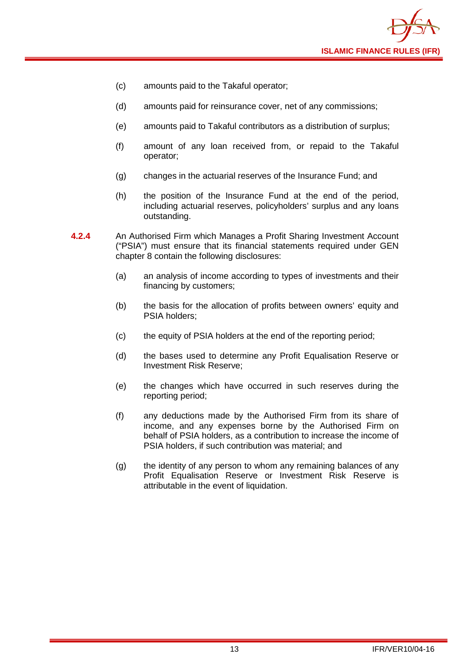

- (c) amounts paid to the Takaful operator;
- (d) amounts paid for reinsurance cover, net of any commissions;
- (e) amounts paid to Takaful contributors as a distribution of surplus;
- (f) amount of any loan received from, or repaid to the Takaful operator;
- (g) changes in the actuarial reserves of the Insurance Fund; and
- (h) the position of the Insurance Fund at the end of the period, including actuarial reserves, policyholders' surplus and any loans outstanding.
- **4.2.4** An Authorised Firm which Manages a Profit Sharing Investment Account ("PSIA") must ensure that its financial statements required under GEN chapter 8 contain the following disclosures:
	- (a) an analysis of income according to types of investments and their financing by customers;
	- (b) the basis for the allocation of profits between owners' equity and PSIA holders;
	- (c) the equity of PSIA holders at the end of the reporting period;
	- (d) the bases used to determine any Profit Equalisation Reserve or Investment Risk Reserve;
	- (e) the changes which have occurred in such reserves during the reporting period;
	- (f) any deductions made by the Authorised Firm from its share of income, and any expenses borne by the Authorised Firm on behalf of PSIA holders, as a contribution to increase the income of PSIA holders, if such contribution was material; and
	- (g) the identity of any person to whom any remaining balances of any Profit Equalisation Reserve or Investment Risk Reserve is attributable in the event of liquidation.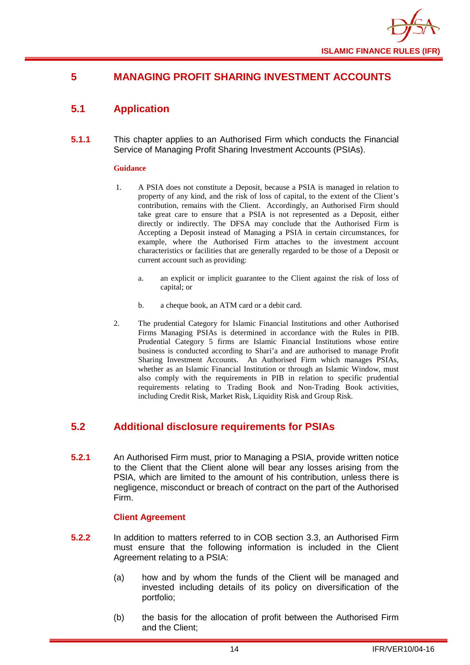

## <span id="page-16-0"></span>**5 MANAGING PROFIT SHARING INVESTMENT ACCOUNTS**

## <span id="page-16-1"></span>**5.1 Application**

**5.1.1** This chapter applies to an Authorised Firm which conducts the Financial Service of Managing Profit Sharing Investment Accounts (PSIAs).

#### **Guidance**

- 1. A PSIA does not constitute a Deposit, because a PSIA is managed in relation to property of any kind, and the risk of loss of capital, to the extent of the Client's contribution, remains with the Client. Accordingly, an Authorised Firm should take great care to ensure that a PSIA is not represented as a Deposit, either directly or indirectly. The DFSA may conclude that the Authorised Firm is Accepting a Deposit instead of Managing a PSIA in certain circumstances, for example, where the Authorised Firm attaches to the investment account characteristics or facilities that are generally regarded to be those of a Deposit or current account such as providing:
	- a. an explicit or implicit guarantee to the Client against the risk of loss of capital; or
	- b. a cheque book, an ATM card or a debit card.
- 2. The prudential Category for Islamic Financial Institutions and other Authorised Firms Managing PSIAs is determined in accordance with the Rules in PIB. Prudential Category 5 firms are Islamic Financial Institutions whose entire business is conducted according to Shari'a and are authorised to manage Profit Sharing Investment Accounts. An Authorised Firm which manages PSIAs, whether as an Islamic Financial Institution or through an Islamic Window, must also comply with the requirements in PIB in relation to specific prudential requirements relating to Trading Book and Non-Trading Book activities, including Credit Risk, Market Risk, Liquidity Risk and Group Risk.

## <span id="page-16-2"></span>**5.2 Additional disclosure requirements for PSIAs**

**5.2.1** An Authorised Firm must, prior to Managing a PSIA, provide written notice to the Client that the Client alone will bear any losses arising from the PSIA, which are limited to the amount of his contribution, unless there is negligence, misconduct or breach of contract on the part of the Authorised Firm.

#### **Client Agreement**

- **5.2.2** In addition to matters referred to in COB section 3.3, an Authorised Firm must ensure that the following information is included in the Client Agreement relating to a PSIA:
	- (a) how and by whom the funds of the Client will be managed and invested including details of its policy on diversification of the portfolio;
	- (b) the basis for the allocation of profit between the Authorised Firm and the Client;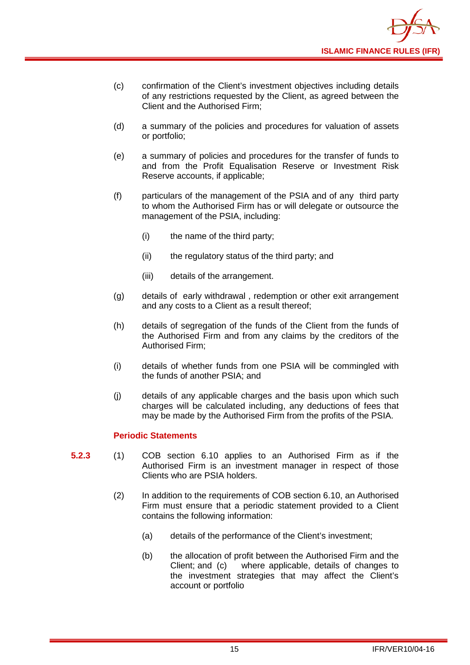

- (c) confirmation of the Client's investment objectives including details of any restrictions requested by the Client, as agreed between the Client and the Authorised Firm;
- (d) a summary of the policies and procedures for valuation of assets or portfolio;
- (e) a summary of policies and procedures for the transfer of funds to and from the Profit Equalisation Reserve or Investment Risk Reserve accounts, if applicable;
- (f) particulars of the management of the PSIA and of any third party to whom the Authorised Firm has or will delegate or outsource the management of the PSIA, including:
	- (i) the name of the third party;
	- (ii) the regulatory status of the third party; and
	- (iii) details of the arrangement.
- (g) details of early withdrawal , redemption or other exit arrangement and any costs to a Client as a result thereof;
- (h) details of segregation of the funds of the Client from the funds of the Authorised Firm and from any claims by the creditors of the Authorised Firm;
- (i) details of whether funds from one PSIA will be commingled with the funds of another PSIA; and
- (j) details of any applicable charges and the basis upon which such charges will be calculated including, any deductions of fees that may be made by the Authorised Firm from the profits of the PSIA.

#### **Periodic Statements**

- **5.2.3** (1) COB section 6.10 applies to an Authorised Firm as if the Authorised Firm is an investment manager in respect of those Clients who are PSIA holders.
	- (2) In addition to the requirements of COB section 6.10, an Authorised Firm must ensure that a periodic statement provided to a Client contains the following information:
		- (a) details of the performance of the Client's investment;
		- (b) the allocation of profit between the Authorised Firm and the Client: and (c) where applicable, details of changes to where applicable, details of changes to the investment strategies that may affect the Client's account or portfolio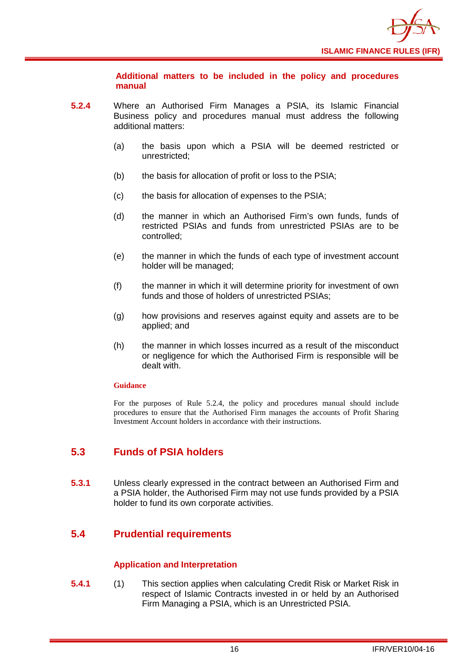

**Additional matters to be included in the policy and procedures manual** 

- **5.2.4** Where an Authorised Firm Manages a PSIA, its Islamic Financial Business policy and procedures manual must address the following additional matters:
	- (a) the basis upon which a PSIA will be deemed restricted or unrestricted;
	- (b) the basis for allocation of profit or loss to the PSIA;
	- (c) the basis for allocation of expenses to the PSIA;
	- (d) the manner in which an Authorised Firm's own funds, funds of restricted PSIAs and funds from unrestricted PSIAs are to be controlled;
	- (e) the manner in which the funds of each type of investment account holder will be managed;
	- (f) the manner in which it will determine priority for investment of own funds and those of holders of unrestricted PSIAs;
	- (g) how provisions and reserves against equity and assets are to be applied; and
	- (h) the manner in which losses incurred as a result of the misconduct or negligence for which the Authorised Firm is responsible will be dealt with.

#### **Guidance**

For the purposes of Rule 5.2.4, the policy and procedures manual should include procedures to ensure that the Authorised Firm manages the accounts of Profit Sharing Investment Account holders in accordance with their instructions.

## <span id="page-18-0"></span>**5.3 Funds of PSIA holders**

**5.3.1** Unless clearly expressed in the contract between an Authorised Firm and a PSIA holder, the Authorised Firm may not use funds provided by a PSIA holder to fund its own corporate activities.

## <span id="page-18-1"></span>**5.4 Prudential requirements**

#### **Application and Interpretation**

**5.4.1** (1) This section applies when calculating Credit Risk or Market Risk in respect of Islamic Contracts invested in or held by an Authorised Firm Managing a PSIA, which is an Unrestricted PSIA.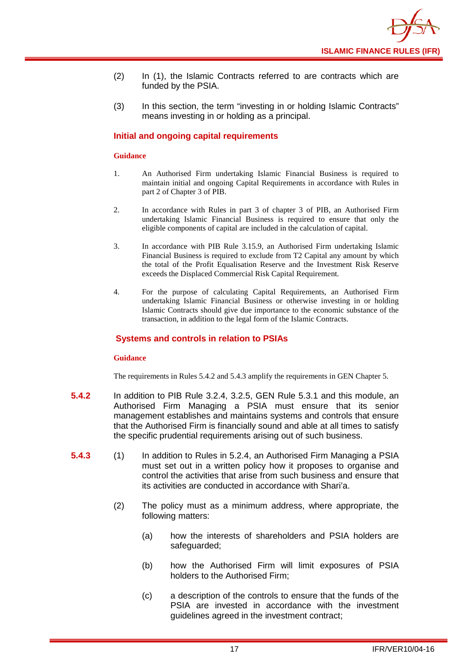- (2) In (1), the Islamic Contracts referred to are contracts which are funded by the PSIA.
- (3) In this section, the term "investing in or holding Islamic Contracts" means investing in or holding as a principal.

#### **Initial and ongoing capital requirements**

#### **Guidance**

- 1. An Authorised Firm undertaking Islamic Financial Business is required to maintain initial and ongoing Capital Requirements in accordance with Rules in part 2 of Chapter 3 of PIB.
- 2. In accordance with Rules in part 3 of chapter 3 of PIB, an Authorised Firm undertaking Islamic Financial Business is required to ensure that only the eligible components of capital are included in the calculation of capital.
- 3. In accordance with PIB Rule 3.15.9, an Authorised Firm undertaking Islamic Financial Business is required to exclude from T2 Capital any amount by which the total of the Profit Equalisation Reserve and the Investment Risk Reserve exceeds the Displaced Commercial Risk Capital Requirement.
- 4. For the purpose of calculating Capital Requirements, an Authorised Firm undertaking Islamic Financial Business or otherwise investing in or holding Islamic Contracts should give due importance to the economic substance of the transaction, in addition to the legal form of the Islamic Contracts.

#### **Systems and controls in relation to PSIAs**

#### **Guidance**

The requirements in Rules 5.4.2 and 5.4.3 amplify the requirements in GEN Chapter 5.

- **5.4.2** In addition to PIB Rule 3.2.4, 3.2.5, GEN Rule 5.3.1 and this module, an Authorised Firm Managing a PSIA must ensure that its senior management establishes and maintains systems and controls that ensure that the Authorised Firm is financially sound and able at all times to satisfy the specific prudential requirements arising out of such business.
- **5.4.3** (1) In addition to Rules in 5.2.4, an Authorised Firm Managing a PSIA must set out in a written policy how it proposes to organise and control the activities that arise from such business and ensure that its activities are conducted in accordance with Shari'a.
	- (2) The policy must as a minimum address, where appropriate, the following matters:
		- (a) how the interests of shareholders and PSIA holders are safeguarded;
		- (b) how the Authorised Firm will limit exposures of PSIA holders to the Authorised Firm;
		- (c) a description of the controls to ensure that the funds of the PSIA are invested in accordance with the investment guidelines agreed in the investment contract;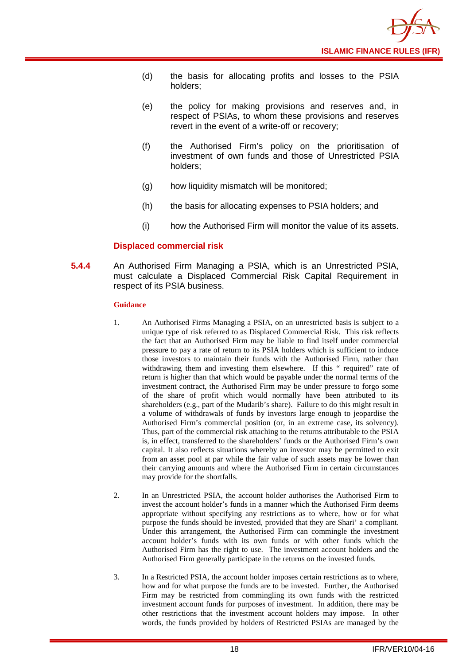

- (d) the basis for allocating profits and losses to the PSIA holders;
- (e) the policy for making provisions and reserves and, in respect of PSIAs, to whom these provisions and reserves revert in the event of a write-off or recovery;
- (f) the Authorised Firm's policy on the prioritisation of investment of own funds and those of Unrestricted PSIA holders;
- (g) how liquidity mismatch will be monitored;
- (h) the basis for allocating expenses to PSIA holders; and
- (i) how the Authorised Firm will monitor the value of its assets.

#### **Displaced commercial risk**

**5.4.4** An Authorised Firm Managing a PSIA, which is an Unrestricted PSIA, must calculate a Displaced Commercial Risk Capital Requirement in respect of its PSIA business.

#### **Guidance**

- 1. An Authorised Firms Managing a PSIA, on an unrestricted basis is subject to a unique type of risk referred to as Displaced Commercial Risk. This risk reflects the fact that an Authorised Firm may be liable to find itself under commercial pressure to pay a rate of return to its PSIA holders which is sufficient to induce those investors to maintain their funds with the Authorised Firm, rather than withdrawing them and investing them elsewhere. If this " required" rate of return is higher than that which would be payable under the normal terms of the investment contract, the Authorised Firm may be under pressure to forgo some of the share of profit which would normally have been attributed to its shareholders (e.g., part of the Mudarib's share). Failure to do this might result in a volume of withdrawals of funds by investors large enough to jeopardise the Authorised Firm's commercial position (or, in an extreme case, its solvency). Thus, part of the commercial risk attaching to the returns attributable to the PSIA is, in effect, transferred to the shareholders' funds or the Authorised Firm's own capital. It also reflects situations whereby an investor may be permitted to exit from an asset pool at par while the fair value of such assets may be lower than their carrying amounts and where the Authorised Firm in certain circumstances may provide for the shortfalls.
- 2. In an Unrestricted PSIA, the account holder authorises the Authorised Firm to invest the account holder's funds in a manner which the Authorised Firm deems appropriate without specifying any restrictions as to where, how or for what purpose the funds should be invested, provided that they are Shari' a compliant. Under this arrangement, the Authorised Firm can commingle the investment account holder's funds with its own funds or with other funds which the Authorised Firm has the right to use. The investment account holders and the Authorised Firm generally participate in the returns on the invested funds.
- 3. In a Restricted PSIA, the account holder imposes certain restrictions as to where, how and for what purpose the funds are to be invested. Further, the Authorised Firm may be restricted from commingling its own funds with the restricted investment account funds for purposes of investment. In addition, there may be other restrictions that the investment account holders may impose. In other words, the funds provided by holders of Restricted PSIAs are managed by the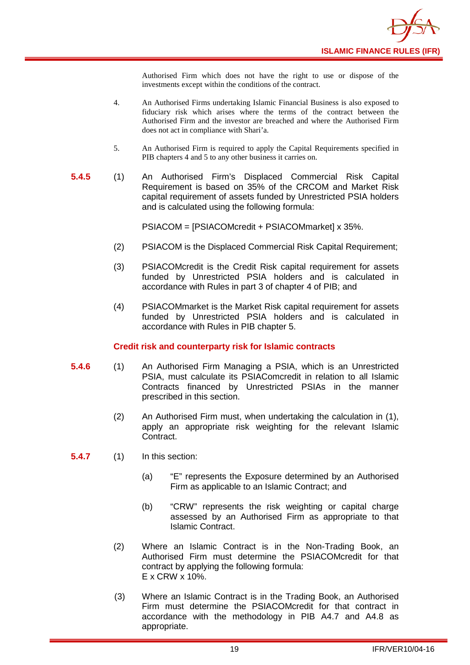Authorised Firm which does not have the right to use or dispose of the investments except within the conditions of the contract.

- 4. An Authorised Firms undertaking Islamic Financial Business is also exposed to fiduciary risk which arises where the terms of the contract between the Authorised Firm and the investor are breached and where the Authorised Firm does not act in compliance with Shari'a.
- 5. An Authorised Firm is required to apply the Capital Requirements specified in PIB chapters 4 and 5 to any other business it carries on.
- **5.4.5** (1) An Authorised Firm's Displaced Commercial Risk Capital Requirement is based on 35% of the CRCOM and Market Risk capital requirement of assets funded by Unrestricted PSIA holders and is calculated using the following formula:

PSIACOM = [PSIACOMcredit + PSIACOMmarket] x 35%.

- (2) PSIACOM is the Displaced Commercial Risk Capital Requirement;
- (3) PSIACOMcredit is the Credit Risk capital requirement for assets funded by Unrestricted PSIA holders and is calculated in accordance with Rules in part 3 of chapter 4 of PIB; and
- (4) PSIACOMmarket is the Market Risk capital requirement for assets funded by Unrestricted PSIA holders and is calculated in accordance with Rules in PIB chapter 5.

#### **Credit risk and counterparty risk for Islamic contracts**

- **5.4.6** (1) An Authorised Firm Managing a PSIA, which is an Unrestricted PSIA, must calculate its PSIAComcredit in relation to all Islamic Contracts financed by Unrestricted PSIAs in the manner prescribed in this section.
	- (2) An Authorised Firm must, when undertaking the calculation in (1), apply an appropriate risk weighting for the relevant Islamic Contract.

**5.4.7** (1) In this section:

- (a) "E" represents the Exposure determined by an Authorised Firm as applicable to an Islamic Contract; and
- (b) "CRW" represents the risk weighting or capital charge assessed by an Authorised Firm as appropriate to that Islamic Contract.
- (2) Where an Islamic Contract is in the Non-Trading Book, an Authorised Firm must determine the PSIACOMcredit for that contract by applying the following formula: E x CRW x 10%.
- (3) Where an Islamic Contract is in the Trading Book, an Authorised Firm must determine the PSIACOMcredit for that contract in accordance with the methodology in PIB A4.7 and A4.8 as appropriate.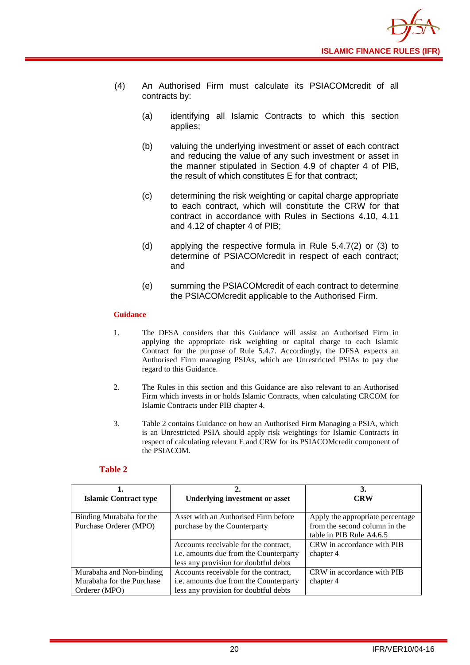

- (4) An Authorised Firm must calculate its PSIACOMcredit of all contracts by:
	- (a) identifying all Islamic Contracts to which this section applies;
	- (b) valuing the underlying investment or asset of each contract and reducing the value of any such investment or asset in the manner stipulated in Section 4.9 of chapter 4 of PIB, the result of which constitutes E for that contract;
	- (c) determining the risk weighting or capital charge appropriate to each contract, which will constitute the CRW for that contract in accordance with Rules in Sections 4.10, 4.11 and 4.12 of chapter 4 of PIB;
	- (d) applying the respective formula in Rule 5.4.7(2) or (3) to determine of PSIACOMcredit in respect of each contract; and
	- (e) summing the PSIACOMcredit of each contract to determine the PSIACOMcredit applicable to the Authorised Firm.

#### **Guidance**

- 1. The DFSA considers that this Guidance will assist an Authorised Firm in applying the appropriate risk weighting or capital charge to each Islamic Contract for the purpose of Rule 5.4.7. Accordingly, the DFSA expects an Authorised Firm managing PSIAs, which are Unrestricted PSIAs to pay due regard to this Guidance.
- 2. The Rules in this section and this Guidance are also relevant to an Authorised Firm which invests in or holds Islamic Contracts, when calculating CRCOM for Islamic Contracts under PIB chapter 4.
- 3. Table 2 contains Guidance on how an Authorised Firm Managing a PSIA, which is an Unrestricted PSIA should apply risk weightings for Islamic Contracts in respect of calculating relevant E and CRW for its PSIACOMcredit component of the PSIACOM.

#### **Table 2**

|                              |                                        | 3.                               |  |  |  |  |
|------------------------------|----------------------------------------|----------------------------------|--|--|--|--|
| <b>Islamic Contract type</b> | <b>Underlying investment or asset</b>  | CRW                              |  |  |  |  |
|                              |                                        |                                  |  |  |  |  |
| Binding Murabaha for the     | Asset with an Authorised Firm before   | Apply the appropriate percentage |  |  |  |  |
| Purchase Orderer (MPO)       | purchase by the Counterparty           | from the second column in the    |  |  |  |  |
|                              |                                        | table in PIB Rule A4.6.5         |  |  |  |  |
|                              | Accounts receivable for the contract,  | CRW in accordance with PIB       |  |  |  |  |
|                              | i.e. amounts due from the Counterparty | chapter 4                        |  |  |  |  |
|                              | less any provision for doubtful debts  |                                  |  |  |  |  |
| Murabaha and Non-binding     | Accounts receivable for the contract,  | CRW in accordance with PIB       |  |  |  |  |
| Murabaha for the Purchase    | i.e. amounts due from the Counterparty | chapter 4                        |  |  |  |  |
| Orderer (MPO)                | less any provision for doubtful debts  |                                  |  |  |  |  |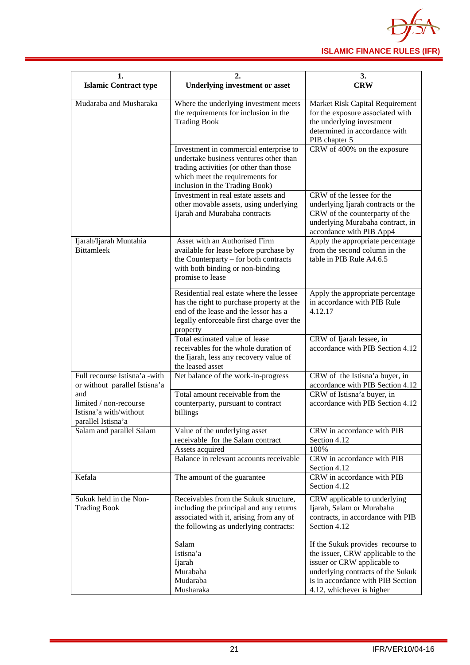

| 1.                                                                            | 2.                                                                                                                                                                                               | 3.                                                                                                                                                                                                           |  |  |  |  |  |
|-------------------------------------------------------------------------------|--------------------------------------------------------------------------------------------------------------------------------------------------------------------------------------------------|--------------------------------------------------------------------------------------------------------------------------------------------------------------------------------------------------------------|--|--|--|--|--|
| <b>Islamic Contract type</b>                                                  | <b>Underlying investment or asset</b>                                                                                                                                                            | <b>CRW</b>                                                                                                                                                                                                   |  |  |  |  |  |
| Mudaraba and Musharaka                                                        | Where the underlying investment meets<br>the requirements for inclusion in the<br><b>Trading Book</b>                                                                                            | Market Risk Capital Requirement<br>for the exposure associated with<br>the underlying investment<br>determined in accordance with<br>PIB chapter 5                                                           |  |  |  |  |  |
|                                                                               | Investment in commercial enterprise to<br>undertake business ventures other than<br>trading activities (or other than those<br>which meet the requirements for<br>inclusion in the Trading Book) | CRW of 400% on the exposure                                                                                                                                                                                  |  |  |  |  |  |
|                                                                               | Investment in real estate assets and<br>other movable assets, using underlying<br>Ijarah and Murabaha contracts                                                                                  | CRW of the lessee for the<br>underlying Ijarah contracts or the<br>CRW of the counterparty of the<br>underlying Murabaha contract, in<br>accordance with PIB App4                                            |  |  |  |  |  |
| Ijarah/Ijarah Muntahia<br><b>Bittamleek</b>                                   | Asset with an Authorised Firm<br>available for lease before purchase by<br>the Counterparty – for both contracts<br>with both binding or non-binding<br>promise to lease                         | Apply the appropriate percentage<br>from the second column in the<br>table in PIB Rule A4.6.5                                                                                                                |  |  |  |  |  |
|                                                                               | Residential real estate where the lessee<br>has the right to purchase property at the<br>end of the lease and the lessor has a<br>legally enforceable first charge over the<br>property          | Apply the appropriate percentage<br>in accordance with PIB Rule<br>4.12.17                                                                                                                                   |  |  |  |  |  |
|                                                                               | Total estimated value of lease<br>receivables for the whole duration of<br>the Ijarah, less any recovery value of<br>the leased asset                                                            | CRW of Ijarah lessee, in<br>accordance with PIB Section 4.12                                                                                                                                                 |  |  |  |  |  |
| Full recourse Istisna'a -with<br>or without parallel Istisna'a                | Net balance of the work-in-progress                                                                                                                                                              | CRW of the Istisna'a buyer, in<br>accordance with PIB Section 4.12                                                                                                                                           |  |  |  |  |  |
| and<br>limited / non-recourse<br>Istisna'a with/without<br>parallel Istisna'a | Total amount receivable from the<br>counterparty, pursuant to contract<br>billings                                                                                                               | CRW of Istisna'a buyer, in<br>accordance with PIB Section 4.12                                                                                                                                               |  |  |  |  |  |
| Salam and parallel Salam                                                      | Value of the underlying asset<br>receivable for the Salam contract                                                                                                                               | CRW in accordance with PIB<br>Section 4.12                                                                                                                                                                   |  |  |  |  |  |
|                                                                               | Assets acquired<br>Balance in relevant accounts receivable                                                                                                                                       | 100%<br>CRW in accordance with PIB<br>Section 4.12                                                                                                                                                           |  |  |  |  |  |
| Kefala                                                                        | The amount of the guarantee                                                                                                                                                                      | CRW in accordance with PIB<br>Section 4.12                                                                                                                                                                   |  |  |  |  |  |
| Sukuk held in the Non-<br><b>Trading Book</b>                                 | Receivables from the Sukuk structure,<br>including the principal and any returns<br>associated with it, arising from any of<br>the following as underlying contracts:                            | CRW applicable to underlying<br>Ijarah, Salam or Murabaha<br>contracts, in accordance with PIB<br>Section 4.12                                                                                               |  |  |  |  |  |
|                                                                               | Salam<br>Istisna'a<br>Ijarah<br>Murabaha<br>Mudaraba<br>Musharaka                                                                                                                                | If the Sukuk provides recourse to<br>the issuer, CRW applicable to the<br>issuer or CRW applicable to<br>underlying contracts of the Sukuk<br>is in accordance with PIB Section<br>4.12, whichever is higher |  |  |  |  |  |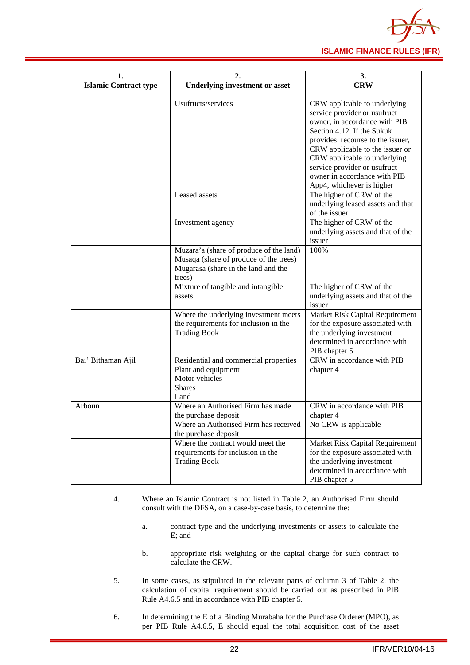

| 1.                           | 2.                                                                                                                                                             | 3.                                                                                                                                                                                                                                                                                                                              |  |  |  |  |  |
|------------------------------|----------------------------------------------------------------------------------------------------------------------------------------------------------------|---------------------------------------------------------------------------------------------------------------------------------------------------------------------------------------------------------------------------------------------------------------------------------------------------------------------------------|--|--|--|--|--|
| <b>Islamic Contract type</b> | <b>Underlying investment or asset</b>                                                                                                                          | <b>CRW</b>                                                                                                                                                                                                                                                                                                                      |  |  |  |  |  |
|                              | Usufructs/services                                                                                                                                             | CRW applicable to underlying<br>service provider or usufruct<br>owner, in accordance with PIB<br>Section 4.12. If the Sukuk<br>provides recourse to the issuer,<br>CRW applicable to the issuer or<br>CRW applicable to underlying<br>service provider or usufruct<br>owner in accordance with PIB<br>App4, whichever is higher |  |  |  |  |  |
|                              | Leased assets                                                                                                                                                  | The higher of CRW of the<br>underlying leased assets and that<br>of the issuer                                                                                                                                                                                                                                                  |  |  |  |  |  |
|                              | Investment agency                                                                                                                                              | The higher of CRW of the<br>underlying assets and that of the<br>issuer                                                                                                                                                                                                                                                         |  |  |  |  |  |
|                              | Muzara'a (share of produce of the land)<br>Musaqa (share of produce of the trees)<br>Mugarasa (share in the land and the<br>trees)                             | 100%                                                                                                                                                                                                                                                                                                                            |  |  |  |  |  |
|                              | Mixture of tangible and intangible<br>assets                                                                                                                   | The higher of CRW of the<br>underlying assets and that of the<br>issuer                                                                                                                                                                                                                                                         |  |  |  |  |  |
|                              | Where the underlying investment meets<br>the requirements for inclusion in the<br><b>Trading Book</b>                                                          | Market Risk Capital Requirement<br>for the exposure associated with<br>the underlying investment<br>determined in accordance with<br>PIB chapter 5                                                                                                                                                                              |  |  |  |  |  |
| Bai' Bithaman Ajil           | Residential and commercial properties<br>Plant and equipment<br>Motor vehicles<br><b>Shares</b><br>Land                                                        | CRW in accordance with PIB<br>chapter 4                                                                                                                                                                                                                                                                                         |  |  |  |  |  |
| Arboun                       | Where an Authorised Firm has made<br>the purchase deposit                                                                                                      | CRW in accordance with PIB<br>chapter 4                                                                                                                                                                                                                                                                                         |  |  |  |  |  |
|                              | Where an Authorised Firm has received<br>the purchase deposit<br>Where the contract would meet the<br>requirements for inclusion in the<br><b>Trading Book</b> | No CRW is applicable<br>Market Risk Capital Requirement<br>for the exposure associated with<br>the underlying investment<br>determined in accordance with<br>PIB chapter 5                                                                                                                                                      |  |  |  |  |  |

- 4. Where an Islamic Contract is not listed in Table 2, an Authorised Firm should consult with the DFSA, on a case-by-case basis, to determine the:
	- a. contract type and the underlying investments or assets to calculate the E; and
	- b. appropriate risk weighting or the capital charge for such contract to calculate the CRW.
- 5. In some cases, as stipulated in the relevant parts of column 3 of Table 2, the calculation of capital requirement should be carried out as prescribed in PIB Rule A4.6.5 and in accordance with PIB chapter 5.
- 6. In determining the E of a Binding Murabaha for the Purchase Orderer (MPO), as per PIB Rule A4.6.5, E should equal the total acquisition cost of the asset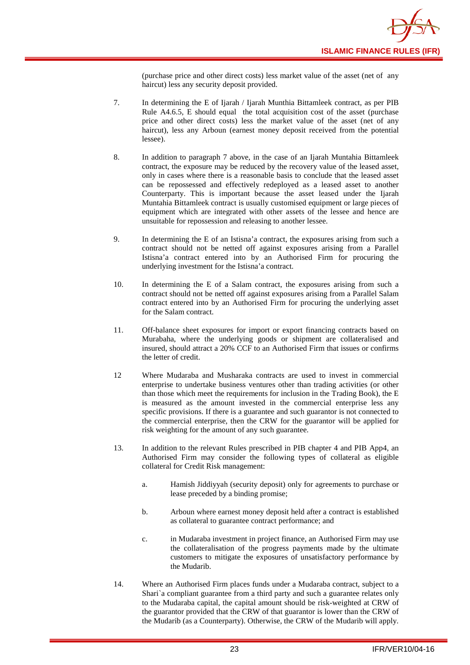

(purchase price and other direct costs) less market value of the asset (net of any haircut) less any security deposit provided.

- 7. In determining the E of Ijarah / Ijarah Munthia Bittamleek contract, as per PIB Rule A4.6.5, E should equal the total acquisition cost of the asset (purchase price and other direct costs) less the market value of the asset (net of any haircut), less any Arboun (earnest money deposit received from the potential lessee).
- 8. In addition to paragraph 7 above, in the case of an Ijarah Muntahia Bittamleek contract, the exposure may be reduced by the recovery value of the leased asset, only in cases where there is a reasonable basis to conclude that the leased asset can be repossessed and effectively redeployed as a leased asset to another Counterparty. This is important because the asset leased under the Ijarah Muntahia Bittamleek contract is usually customised equipment or large pieces of equipment which are integrated with other assets of the lessee and hence are unsuitable for repossession and releasing to another lessee.
- 9. In determining the E of an Istisna'a contract, the exposures arising from such a contract should not be netted off against exposures arising from a Parallel Istisna'a contract entered into by an Authorised Firm for procuring the underlying investment for the Istisna'a contract.
- 10. In determining the E of a Salam contract, the exposures arising from such a contract should not be netted off against exposures arising from a Parallel Salam contract entered into by an Authorised Firm for procuring the underlying asset for the Salam contract.
- 11. Off-balance sheet exposures for import or export financing contracts based on Murabaha, where the underlying goods or shipment are collateralised and insured, should attract a 20% CCF to an Authorised Firm that issues or confirms the letter of credit.
- 12 Where Mudaraba and Musharaka contracts are used to invest in commercial enterprise to undertake business ventures other than trading activities (or other than those which meet the requirements for inclusion in the Trading Book), the E is measured as the amount invested in the commercial enterprise less any specific provisions. If there is a guarantee and such guarantor is not connected to the commercial enterprise, then the CRW for the guarantor will be applied for risk weighting for the amount of any such guarantee.
- 13. In addition to the relevant Rules prescribed in PIB chapter 4 and PIB App4, an Authorised Firm may consider the following types of collateral as eligible collateral for Credit Risk management:
	- a. Hamish Jiddiyyah (security deposit) only for agreements to purchase or lease preceded by a binding promise;
	- b. Arboun where earnest money deposit held after a contract is established as collateral to guarantee contract performance; and
	- c. in Mudaraba investment in project finance, an Authorised Firm may use the collateralisation of the progress payments made by the ultimate customers to mitigate the exposures of unsatisfactory performance by the Mudarib.
- 14. Where an Authorised Firm places funds under a Mudaraba contract, subject to a Shari`a compliant guarantee from a third party and such a guarantee relates only to the Mudaraba capital, the capital amount should be risk-weighted at CRW of the guarantor provided that the CRW of that guarantor is lower than the CRW of the Mudarib (as a Counterparty). Otherwise, the CRW of the Mudarib will apply.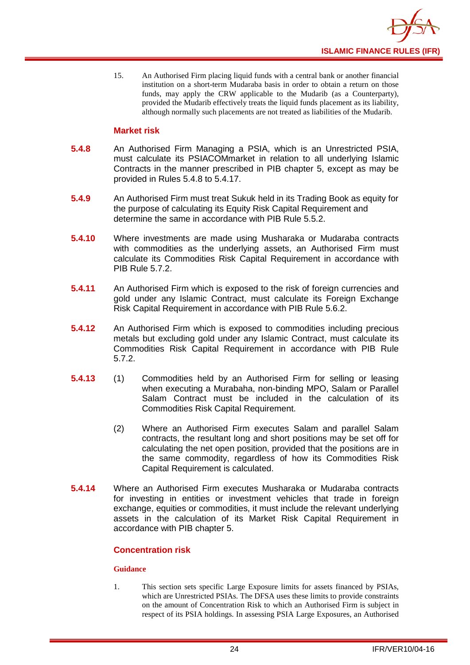

15. An Authorised Firm placing liquid funds with a central bank or another financial institution on a short-term Mudaraba basis in order to obtain a return on those funds, may apply the CRW applicable to the Mudarib (as a Counterparty), provided the Mudarib effectively treats the liquid funds placement as its liability, although normally such placements are not treated as liabilities of the Mudarib.

#### **Market risk**

- **5.4.8** An Authorised Firm Managing a PSIA, which is an Unrestricted PSIA, must calculate its PSIACOMmarket in relation to all underlying Islamic Contracts in the manner prescribed in PIB chapter 5, except as may be provided in Rules 5.4.8 to 5.4.17.
- **5.4.9** An Authorised Firm must treat Sukuk held in its Trading Book as equity for the purpose of calculating its Equity Risk Capital Requirement and determine the same in accordance with PIB Rule 5.5.2.
- **5.4.10** Where investments are made using Musharaka or Mudaraba contracts with commodities as the underlying assets, an Authorised Firm must calculate its Commodities Risk Capital Requirement in accordance with PIB Rule 5.7.2.
- **5.4.11** An Authorised Firm which is exposed to the risk of foreign currencies and gold under any Islamic Contract, must calculate its Foreign Exchange Risk Capital Requirement in accordance with PIB Rule 5.6.2.
- **5.4.12** An Authorised Firm which is exposed to commodities including precious metals but excluding gold under any Islamic Contract, must calculate its Commodities Risk Capital Requirement in accordance with PIB Rule 5.7.2.
- **5.4.13** (1) Commodities held by an Authorised Firm for selling or leasing when executing a Murabaha, non-binding MPO, Salam or Parallel Salam Contract must be included in the calculation of its Commodities Risk Capital Requirement.
	- (2) Where an Authorised Firm executes Salam and parallel Salam contracts, the resultant long and short positions may be set off for calculating the net open position, provided that the positions are in the same commodity, regardless of how its Commodities Risk Capital Requirement is calculated.
- **5.4.14** Where an Authorised Firm executes Musharaka or Mudaraba contracts for investing in entities or investment vehicles that trade in foreign exchange, equities or commodities, it must include the relevant underlying assets in the calculation of its Market Risk Capital Requirement in accordance with PIB chapter 5.

#### **Concentration risk**

#### **Guidance**

1. This section sets specific Large Exposure limits for assets financed by PSIAs, which are Unrestricted PSIAs. The DFSA uses these limits to provide constraints on the amount of Concentration Risk to which an Authorised Firm is subject in respect of its PSIA holdings. In assessing PSIA Large Exposures, an Authorised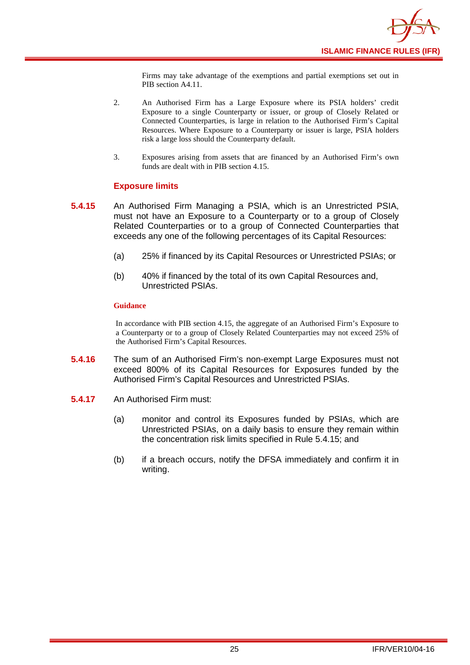

Firms may take advantage of the exemptions and partial exemptions set out in PIB section A4.11.

- 2. An Authorised Firm has a Large Exposure where its PSIA holders' credit Exposure to a single Counterparty or issuer, or group of Closely Related or Connected Counterparties, is large in relation to the Authorised Firm's Capital Resources. Where Exposure to a Counterparty or issuer is large, PSIA holders risk a large loss should the Counterparty default.
- 3. Exposures arising from assets that are financed by an Authorised Firm's own funds are dealt with in PIB section 4.15.

#### **Exposure limits**

- **5.4.15** An Authorised Firm Managing a PSIA, which is an Unrestricted PSIA, must not have an Exposure to a Counterparty or to a group of Closely Related Counterparties or to a group of Connected Counterparties that exceeds any one of the following percentages of its Capital Resources:
	- (a) 25% if financed by its Capital Resources or Unrestricted PSIAs; or
	- (b) 40% if financed by the total of its own Capital Resources and, Unrestricted PSIAs.

#### **Guidance**

In accordance with PIB section 4.15, the aggregate of an Authorised Firm's Exposure to a Counterparty or to a group of Closely Related Counterparties may not exceed 25% of the Authorised Firm's Capital Resources.

- **5.4.16** The sum of an Authorised Firm's non-exempt Large Exposures must not exceed 800% of its Capital Resources for Exposures funded by the Authorised Firm's Capital Resources and Unrestricted PSIAs.
- **5.4.17** An Authorised Firm must:
	- (a) monitor and control its Exposures funded by PSIAs, which are Unrestricted PSIAs, on a daily basis to ensure they remain within the concentration risk limits specified in Rule 5.4.15; and
	- (b) if a breach occurs, notify the DFSA immediately and confirm it in writing.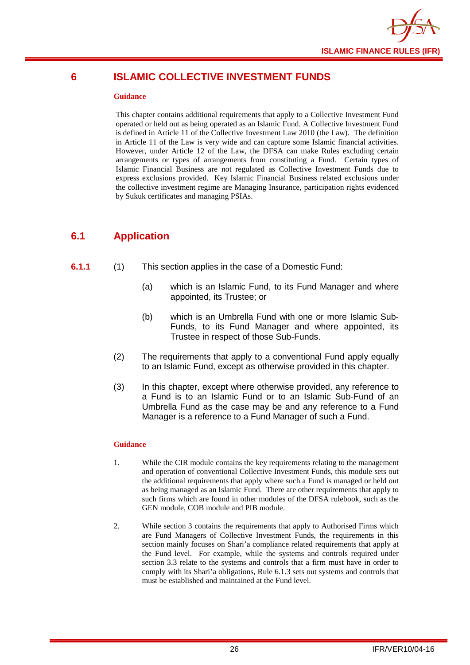

## <span id="page-28-0"></span>**6 ISLAMIC COLLECTIVE INVESTMENT FUNDS**

#### **Guidance**

This chapter contains additional requirements that apply to a Collective Investment Fund operated or held out as being operated as an Islamic Fund. A Collective Investment Fund is defined in Article 11 of the Collective Investment Law 2010 (the Law). The definition in Article 11 of the Law is very wide and can capture some Islamic financial activities. However, under Article 12 of the Law, the DFSA can make Rules excluding certain arrangements or types of arrangements from constituting a Fund. Certain types of Islamic Financial Business are not regulated as Collective Investment Funds due to express exclusions provided. Key Islamic Financial Business related exclusions under the collective investment regime are Managing Insurance, participation rights evidenced by Sukuk certificates and managing PSIAs.

## <span id="page-28-1"></span>**6.1 Application**

#### **6.1.1** (1) This section applies in the case of a Domestic Fund:

- (a) which is an Islamic Fund, to its Fund Manager and where appointed, its Trustee; or
- (b) which is an Umbrella Fund with one or more Islamic Sub-Funds, to its Fund Manager and where appointed, its Trustee in respect of those Sub-Funds.
- (2) The requirements that apply to a conventional Fund apply equally to an Islamic Fund, except as otherwise provided in this chapter.
- (3) In this chapter, except where otherwise provided, any reference to a Fund is to an Islamic Fund or to an Islamic Sub-Fund of an Umbrella Fund as the case may be and any reference to a Fund Manager is a reference to a Fund Manager of such a Fund.

#### **Guidance**

- 1. While the CIR module contains the key requirements relating to the management and operation of conventional Collective Investment Funds, this module sets out the additional requirements that apply where such a Fund is managed or held out as being managed as an Islamic Fund. There are other requirements that apply to such firms which are found in other modules of the DFSA rulebook, such as the GEN module, COB module and PIB module.
- 2. While section 3 contains the requirements that apply to Authorised Firms which are Fund Managers of Collective Investment Funds, the requirements in this section mainly focuses on Shari'a compliance related requirements that apply at the Fund level. For example, while the systems and controls required under section 3.3 relate to the systems and controls that a firm must have in order to comply with its Shari'a obligations, Rule 6.1.3 sets out systems and controls that must be established and maintained at the Fund level.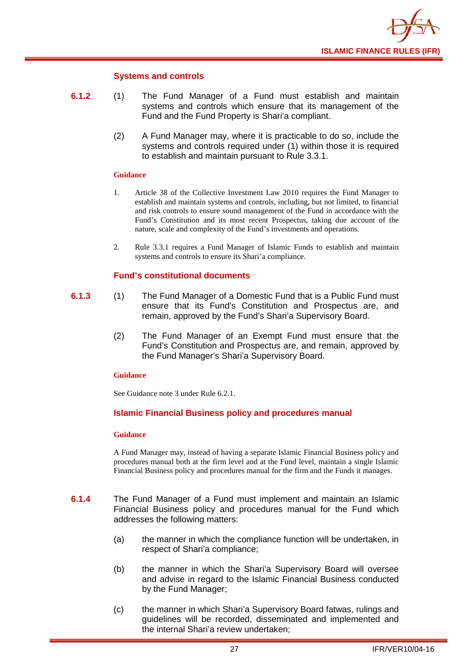

#### **Systems and controls**

- **6.1.2** (1) The Fund Manager of a Fund must establish and maintain systems and controls which ensure that its management of the Fund and the Fund Property is Shari'a compliant.
	- (2) A Fund Manager may, where it is practicable to do so, include the systems and controls required under (1) within those it is required to establish and maintain pursuant to Rule 3.3.1.

#### **Guidance**

- 1. Article 38 of the Collective Investment Law 2010 requires the Fund Manager to establish and maintain systems and controls, including, but not limited, to financial and risk controls to ensure sound management of the Fund in accordance with the Fund's Constitution and its most recent Prospectus, taking due account of the nature, scale and complexity of the Fund's investments and operations.
- 2. Rule 3.3.1 requires a Fund Manager of Islamic Funds to establish and maintain systems and controls to ensure its Shari'a compliance.

#### **Fund's constitutional documents**

- **6.1.3** (1) The Fund Manager of a Domestic Fund that is a Public Fund must ensure that its Fund's Constitution and Prospectus are, and remain, approved by the Fund's Shari'a Supervisory Board.
	- (2) The Fund Manager of an Exempt Fund must ensure that the Fund's Constitution and Prospectus are, and remain, approved by the Fund Manager's Shari'a Supervisory Board.

#### **Guidance**

See Guidance note 3 under Rule 6.2.1.

#### **Islamic Financial Business policy and procedures manual**

#### **Guidance**

A Fund Manager may, instead of having a separate Islamic Financial Business policy and procedures manual both at the firm level and at the Fund level, maintain a single Islamic Financial Business policy and procedures manual for the firm and the Funds it manages.

- **6.1.4** The Fund Manager of a Fund must implement and maintain an Islamic Financial Business policy and procedures manual for the Fund which addresses the following matters:
	- (a) the manner in which the compliance function will be undertaken, in respect of Shari'a compliance;
	- (b) the manner in which the Shari'a Supervisory Board will oversee and advise in regard to the Islamic Financial Business conducted by the Fund Manager;
	- (c) the manner in which Shari'a Supervisory Board fatwas, rulings and guidelines will be recorded, disseminated and implemented and the internal Shari'a review undertaken;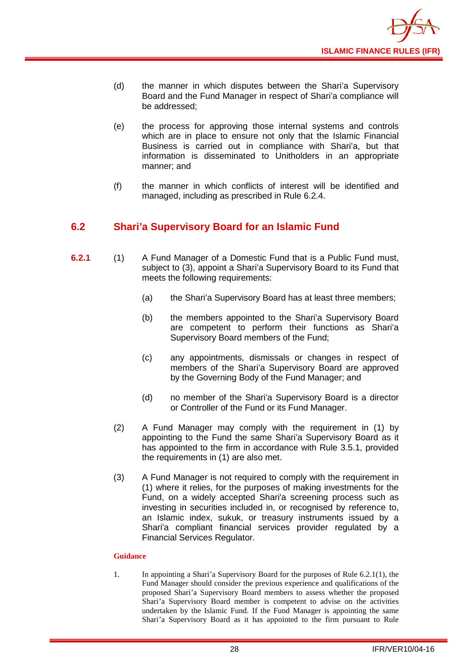

- (d) the manner in which disputes between the Shari'a Supervisory Board and the Fund Manager in respect of Shari'a compliance will be addressed;
- (e) the process for approving those internal systems and controls which are in place to ensure not only that the Islamic Financial Business is carried out in compliance with Shari'a, but that information is disseminated to Unitholders in an appropriate manner; and
- (f) the manner in which conflicts of interest will be identified and managed, including as prescribed in Rule 6.2.4.

## <span id="page-30-0"></span>**6.2 Shari'a Supervisory Board for an Islamic Fund**

- **6.2.1** (1) A Fund Manager of a Domestic Fund that is a Public Fund must, subject to (3), appoint a Shari'a Supervisory Board to its Fund that meets the following requirements:
	- (a) the Shari'a Supervisory Board has at least three members;
	- (b) the members appointed to the Shari'a Supervisory Board are competent to perform their functions as Shari'a Supervisory Board members of the Fund;
	- (c) any appointments, dismissals or changes in respect of members of the Shari'a Supervisory Board are approved by the Governing Body of the Fund Manager; and
	- (d) no member of the Shari'a Supervisory Board is a director or Controller of the Fund or its Fund Manager.
	- (2) A Fund Manager may comply with the requirement in (1) by appointing to the Fund the same Shari'a Supervisory Board as it has appointed to the firm in accordance with Rule 3.5.1, provided the requirements in (1) are also met.
	- (3) A Fund Manager is not required to comply with the requirement in (1) where it relies, for the purposes of making investments for the Fund, on a widely accepted Shari'a screening process such as investing in securities included in, or recognised by reference to, an Islamic index, sukuk, or treasury instruments issued by a Shari'a compliant financial services provider regulated by a Financial Services Regulator.

#### **Guidance**

1. In appointing a Shari'a Supervisory Board for the purposes of Rule 6.2.1(1), the Fund Manager should consider the previous experience and qualifications of the proposed Shari'a Supervisory Board members to assess whether the proposed Shari'a Supervisory Board member is competent to advise on the activities undertaken by the Islamic Fund. If the Fund Manager is appointing the same Shari'a Supervisory Board as it has appointed to the firm pursuant to Rule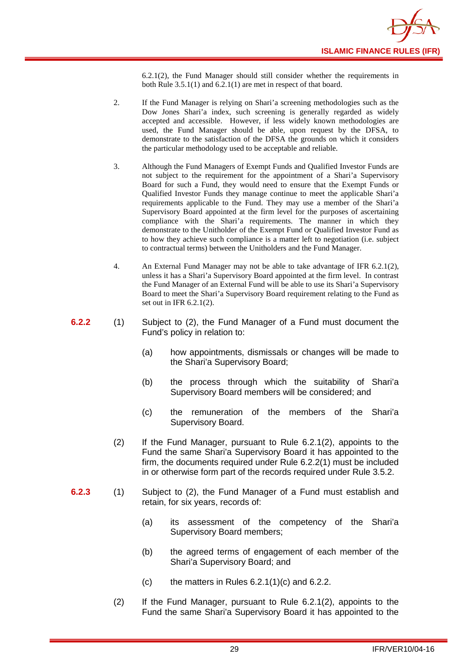6.2.1(2), the Fund Manager should still consider whether the requirements in both Rule 3.5.1(1) and 6.2.1(1) are met in respect of that board.

- 2. If the Fund Manager is relying on Shari'a screening methodologies such as the Dow Jones Shari'a index, such screening is generally regarded as widely accepted and accessible. However, if less widely known methodologies are used, the Fund Manager should be able, upon request by the DFSA, to demonstrate to the satisfaction of the DFSA the grounds on which it considers the particular methodology used to be acceptable and reliable.
- 3. Although the Fund Managers of Exempt Funds and Qualified Investor Funds are not subject to the requirement for the appointment of a Shari'a Supervisory Board for such a Fund, they would need to ensure that the Exempt Funds or Qualified Investor Funds they manage continue to meet the applicable Shari'a requirements applicable to the Fund. They may use a member of the Shari'a Supervisory Board appointed at the firm level for the purposes of ascertaining compliance with the Shari'a requirements. The manner in which they demonstrate to the Unitholder of the Exempt Fund or Qualified Investor Fund as to how they achieve such compliance is a matter left to negotiation (i.e. subject to contractual terms) between the Unitholders and the Fund Manager.
- 4. An External Fund Manager may not be able to take advantage of IFR 6.2.1(2), unless it has a Shari'a Supervisory Board appointed at the firm level. In contrast the Fund Manager of an External Fund will be able to use its Shari'a Supervisory Board to meet the Shari'a Supervisory Board requirement relating to the Fund as set out in IFR 6.2.1(2).
- **6.2.2** (1) Subject to (2), the Fund Manager of a Fund must document the Fund's policy in relation to:
	- (a) how appointments, dismissals or changes will be made to the Shari'a Supervisory Board;
	- (b) the process through which the suitability of Shari'a Supervisory Board members will be considered; and
	- (c) the remuneration of the members of the Shari'a Supervisory Board.
	- (2) If the Fund Manager, pursuant to Rule 6.2.1(2), appoints to the Fund the same Shari'a Supervisory Board it has appointed to the firm, the documents required under Rule 6.2.2(1) must be included in or otherwise form part of the records required under Rule 3.5.2.
- **6.2.3** (1) Subject to (2), the Fund Manager of a Fund must establish and retain, for six years, records of:
	- (a) its assessment of the competency of the Shari'a Supervisory Board members;
	- (b) the agreed terms of engagement of each member of the Shari'a Supervisory Board; and
	- (c) the matters in Rules  $6.2.1(1)(c)$  and  $6.2.2$ .
	- (2) If the Fund Manager, pursuant to Rule 6.2.1(2), appoints to the Fund the same Shari'a Supervisory Board it has appointed to the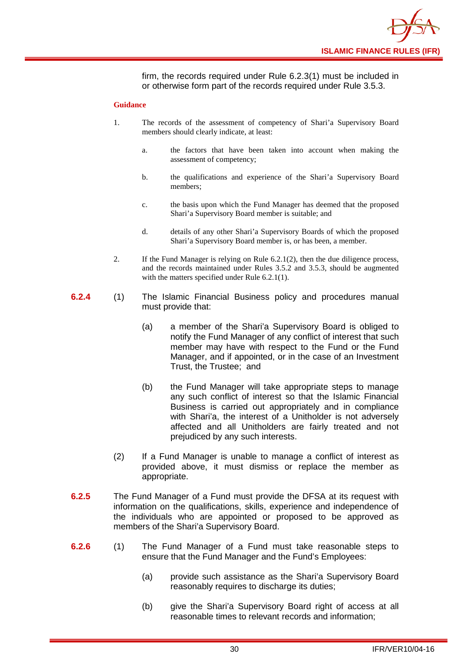

firm, the records required under Rule 6.2.3(1) must be included in or otherwise form part of the records required under Rule 3.5.3.

#### **Guidance**

- 1. The records of the assessment of competency of Shari'a Supervisory Board members should clearly indicate, at least:
	- a. the factors that have been taken into account when making the assessment of competency;
	- b. the qualifications and experience of the Shari'a Supervisory Board members;
	- c. the basis upon which the Fund Manager has deemed that the proposed Shari'a Supervisory Board member is suitable; and
	- d. details of any other Shari'a Supervisory Boards of which the proposed Shari'a Supervisory Board member is, or has been, a member.
- 2. If the Fund Manager is relying on Rule 6.2.1(2), then the due diligence process, and the records maintained under Rules 3.5.2 and 3.5.3, should be augmented with the matters specified under Rule 6.2.1(1).
- **6.2.4** (1) The Islamic Financial Business policy and procedures manual must provide that:
	- (a) a member of the Shari'a Supervisory Board is obliged to notify the Fund Manager of any conflict of interest that such member may have with respect to the Fund or the Fund Manager, and if appointed, or in the case of an Investment Trust, the Trustee; and
	- (b) the Fund Manager will take appropriate steps to manage any such conflict of interest so that the Islamic Financial Business is carried out appropriately and in compliance with Shari'a, the interest of a Unitholder is not adversely affected and all Unitholders are fairly treated and not prejudiced by any such interests.
	- (2) If a Fund Manager is unable to manage a conflict of interest as provided above, it must dismiss or replace the member as appropriate.
- **6.2.5** The Fund Manager of a Fund must provide the DFSA at its request with information on the qualifications, skills, experience and independence of the individuals who are appointed or proposed to be approved as members of the Shari'a Supervisory Board.
- **6.2.6** (1) The Fund Manager of a Fund must take reasonable steps to ensure that the Fund Manager and the Fund's Employees:
	- (a) provide such assistance as the Shari'a Supervisory Board reasonably requires to discharge its duties;
	- (b) give the Shari'a Supervisory Board right of access at all reasonable times to relevant records and information;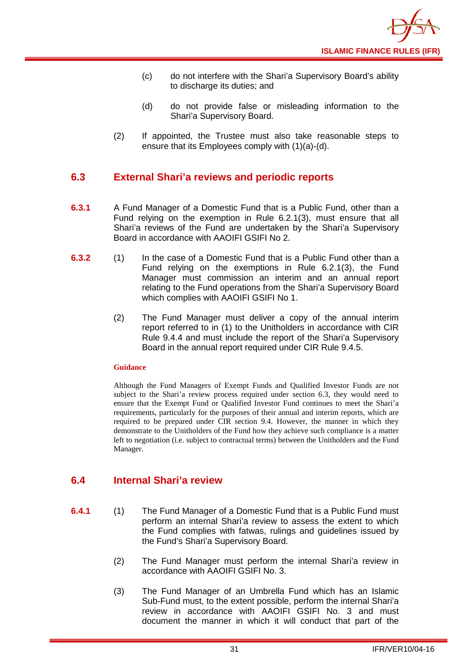- (c) do not interfere with the Shari'a Supervisory Board's ability to discharge its duties; and
- (d) do not provide false or misleading information to the Shari'a Supervisory Board.
- (2) If appointed, the Trustee must also take reasonable steps to ensure that its Employees comply with (1)(a)-(d).

## <span id="page-33-0"></span>**6.3 External Shari'a reviews and periodic reports**

- **6.3.1** A Fund Manager of a Domestic Fund that is a Public Fund, other than a Fund relying on the exemption in Rule 6.2.1(3), must ensure that all Shari'a reviews of the Fund are undertaken by the Shari'a Supervisory Board in accordance with AAOIFI GSIFI No 2.
- **6.3.2** (1) In the case of a Domestic Fund that is a Public Fund other than a Fund relying on the exemptions in Rule 6.2.1(3), the Fund Manager must commission an interim and an annual report relating to the Fund operations from the Shari'a Supervisory Board which complies with AAOIFI GSIFI No 1.
	- (2) The Fund Manager must deliver a copy of the annual interim report referred to in (1) to the Unitholders in accordance with CIR Rule 9.4.4 and must include the report of the Shari'a Supervisory Board in the annual report required under CIR Rule 9.4.5.

#### **Guidance**

Although the Fund Managers of Exempt Funds and Qualified Investor Funds are not subject to the Shari'a review process required under section 6.3, they would need to ensure that the Exempt Fund or Qualified Investor Fund continues to meet the Shari'a requirements, particularly for the purposes of their annual and interim reports, which are required to be prepared under CIR section 9.4. However, the manner in which they demonstrate to the Unitholders of the Fund how they achieve such compliance is a matter left to negotiation (i.e. subject to contractual terms) between the Unitholders and the Fund Manager.

## <span id="page-33-1"></span>**6.4 Internal Shari'a review**

- **6.4.1** (1) The Fund Manager of a Domestic Fund that is a Public Fund must perform an internal Shari'a review to assess the extent to which the Fund complies with fatwas, rulings and guidelines issued by the Fund's Shari'a Supervisory Board.
	- (2) The Fund Manager must perform the internal Shari'a review in accordance with AAOIFI GSIFI No. 3.
	- (3) The Fund Manager of an Umbrella Fund which has an Islamic Sub-Fund must, to the extent possible, perform the internal Shari'a review in accordance with AAOIFI GSIFI No. 3 and must document the manner in which it will conduct that part of the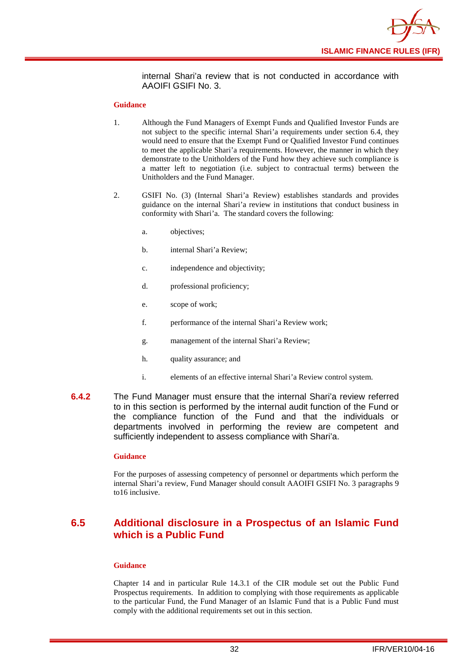

internal Shari'a review that is not conducted in accordance with AAOIFI GSIFI No. 3.

#### **Guidance**

- 1. Although the Fund Managers of Exempt Funds and Qualified Investor Funds are not subject to the specific internal Shari'a requirements under section 6.4, they would need to ensure that the Exempt Fund or Qualified Investor Fund continues to meet the applicable Shari'a requirements. However, the manner in which they demonstrate to the Unitholders of the Fund how they achieve such compliance is a matter left to negotiation (i.e. subject to contractual terms) between the Unitholders and the Fund Manager.
- 2. GSIFI No. (3) (Internal Shari'a Review) establishes standards and provides guidance on the internal Shari'a review in institutions that conduct business in conformity with Shari'a. The standard covers the following:
	- a. objectives;
	- b. internal Shari'a Review;
	- c. independence and objectivity;
	- d. professional proficiency;
	- e. scope of work;
	- f. performance of the internal Shari'a Review work;
	- g. management of the internal Shari'a Review;
	- h. quality assurance; and
	- i. elements of an effective internal Shari'a Review control system.
- **6.4.2** The Fund Manager must ensure that the internal Shari'a review referred to in this section is performed by the internal audit function of the Fund or the compliance function of the Fund and that the individuals or departments involved in performing the review are competent and sufficiently independent to assess compliance with Shari'a.

#### **Guidance**

For the purposes of assessing competency of personnel or departments which perform the internal Shari'a review, Fund Manager should consult AAOIFI GSIFI No. 3 paragraphs 9 to16 inclusive.

## <span id="page-34-0"></span>**6.5 Additional disclosure in a Prospectus of an Islamic Fund which is a Public Fund**

#### **Guidance**

Chapter 14 and in particular Rule 14.3.1 of the CIR module set out the Public Fund Prospectus requirements. In addition to complying with those requirements as applicable to the particular Fund, the Fund Manager of an Islamic Fund that is a Public Fund must comply with the additional requirements set out in this section.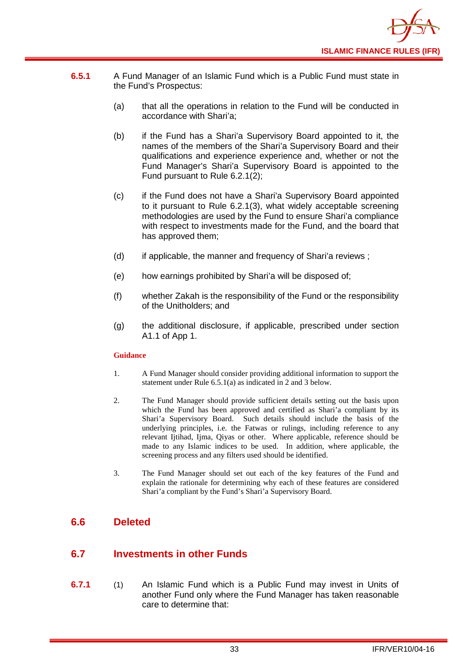

- **6.5.1** A Fund Manager of an Islamic Fund which is a Public Fund must state in the Fund's Prospectus:
	- (a) that all the operations in relation to the Fund will be conducted in accordance with Shari'a;
	- (b) if the Fund has a Shari'a Supervisory Board appointed to it, the names of the members of the Shari'a Supervisory Board and their qualifications and experience experience and, whether or not the Fund Manager's Shari'a Supervisory Board is appointed to the Fund pursuant to Rule 6.2.1(2);
	- (c) if the Fund does not have a Shari'a Supervisory Board appointed to it pursuant to Rule 6.2.1(3), what widely acceptable screening methodologies are used by the Fund to ensure Shari'a compliance with respect to investments made for the Fund, and the board that has approved them;
	- (d) if applicable, the manner and frequency of Shari'a reviews ;
	- (e) how earnings prohibited by Shari'a will be disposed of;
	- (f) whether Zakah is the responsibility of the Fund or the responsibility of the Unitholders; and
	- (g) the additional disclosure, if applicable, prescribed under section A1.1 of App 1.

#### **Guidance**

- 1. A Fund Manager should consider providing additional information to support the statement under Rule 6.5.1(a) as indicated in 2 and 3 below.
- 2. The Fund Manager should provide sufficient details setting out the basis upon which the Fund has been approved and certified as Shari'a compliant by its Shari'a Supervisory Board. Such details should include the basis of the underlying principles, i.e. the Fatwas or rulings, including reference to any relevant Ijtihad, Ijma, Qiyas or other. Where applicable, reference should be made to any Islamic indices to be used. In addition, where applicable, the screening process and any filters used should be identified.
- 3. The Fund Manager should set out each of the key features of the Fund and explain the rationale for determining why each of these features are considered Shari'a compliant by the Fund's Shari'a Supervisory Board.

## <span id="page-35-0"></span>**6.6 Deleted**

## <span id="page-35-1"></span>**6.7 Investments in other Funds**

**6.7.1** (1) An Islamic Fund which is a Public Fund may invest in Units of another [Fund](http://fsahandbook.info/FSA/glossary.jsp?doc=glossary%5Cglossary&gloss=G1043#G1043) only where the Fund Manager has taken reasonable care to determine that: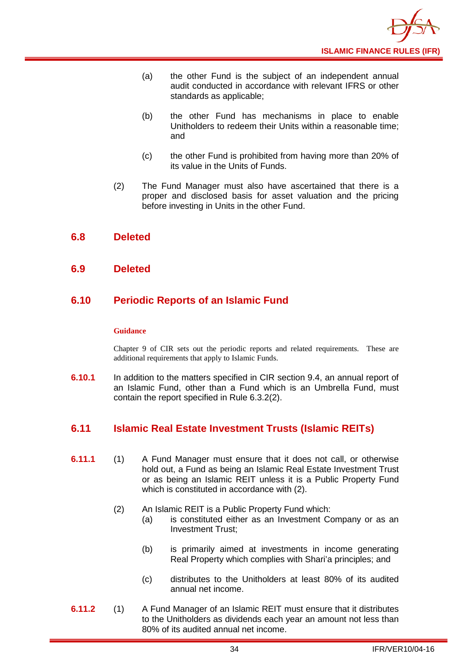

- (a) the other Fund is the subject of an independent annual audit conducted in accordance with relevant IFRS or other standards as applicable;
- (b) the other Fund has mechanisms in place to enable [Unitholders](http://fsahandbook.info/FSA/glossary.jsp?doc=glossary%5Cglossary&gloss=G1233#G1233) to redeem their [Units](http://fsahandbook.info/FSA/glossary.jsp?doc=glossary%5Cglossary&gloss=G1230#G1230) within a reasonable time; and
- (c) the other Fund is prohibited from having more than 20% of its value in the [Units](http://fsahandbook.info/FSA/glossary.jsp?doc=glossary%5Cglossary&gloss=G1230#G1230) of Funds.
- (2) The Fund Manager must also have ascertained that there is a proper and disclosed basis for asset valuation and the pricing before investing in [Units](http://fsahandbook.info/FSA/glossary.jsp?doc=glossary%5Cglossary&gloss=G1230#G1230) in the other [Fund.](http://fsahandbook.info/FSA/glossary.jsp?doc=glossary%5Cglossary&gloss=G1043#G1043)

## <span id="page-36-0"></span>**6.8 Deleted**

#### <span id="page-36-1"></span>**6.9 Deleted**

## <span id="page-36-2"></span>**6.10 Periodic Reports of an Islamic Fund**

#### **Guidance**

Chapter 9 of CIR sets out the periodic reports and related requirements. These are additional requirements that apply to Islamic Funds.

**6.10.1** In addition to the matters specified in CIR section 9.4, an annual report of an Islamic Fund, other than a Fund which is an [Umbrella](http://fsahandbook.info/FSA/glossary-html/handbook/Glossary/U?definition=G1222) Fund, must contain the report specified in Rule 6.3.2(2).

## <span id="page-36-3"></span>**6.11 Islamic Real Estate Investment Trusts (Islamic REITs)**

- **6.11.1** (1) A Fund Manager must ensure that it does not call, or otherwise hold out, a Fund as being an Islamic Real Estate Investment Trust or as being an Islamic REIT unless it is a Public Property Fund which is constituted in accordance with (2).
	- (2) An Islamic REIT is a Public Property Fund which:
		- (a) is constituted either as an Investment Company or as an Investment Trust;
		- (b) is primarily aimed at investments in income generating Real Property which complies with Shari'a principles; and
		- (c) distributes to the Unitholders at least 80% of its audited annual net income.
- **6.11.2** (1) A Fund Manager of an Islamic REIT must ensure that it distributes to the Unitholders as dividends each year an amount not less than 80% of its audited annual net income.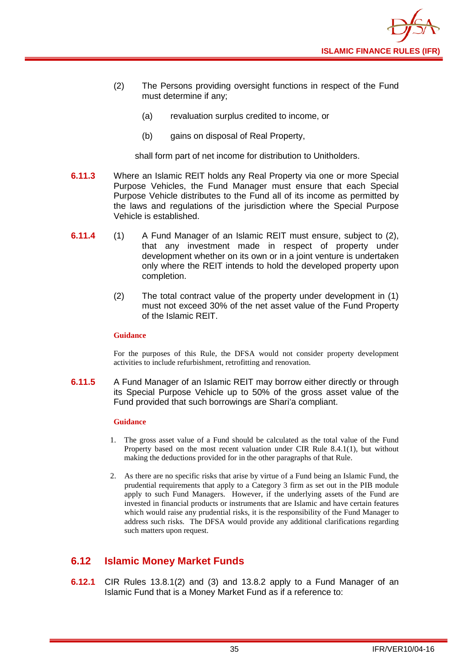

- (2) The Persons providing oversight functions in respect of the Fund must determine if any;
	- (a) revaluation surplus credited to income, or
	- (b) gains on disposal of Real Property,

shall form part of net income for distribution to Unitholders.

- **6.11.3** Where an Islamic REIT holds any Real Property via one or more Special Purpose Vehicles, the Fund Manager must ensure that each Special Purpose Vehicle distributes to the Fund all of its income as permitted by the laws and regulations of the jurisdiction where the Special Purpose Vehicle is established.
- **6.11.4** (1) A Fund Manager of an Islamic REIT must ensure, subject to (2), that any investment made in respect of property under development whether on its own or in a joint venture is undertaken only where the REIT intends to hold the developed property upon completion.
	- (2) The total contract value of the property under development in (1) must not exceed 30% of the net asset value of the Fund Property of the Islamic REIT.

#### **Guidance**

For the purposes of this Rule, the DFSA would not consider property development activities to include refurbishment, retrofitting and renovation.

**6.11.5** A Fund Manager of an Islamic REIT may borrow either directly or through its Special Purpose Vehicle up to 50% of the gross asset value of the Fund provided that such borrowings are Shari'a compliant.

#### **Guidance**

- 1. The gross asset value of a Fund should be calculated as the total value of the Fund Property based on the most recent valuation under CIR Rule 8.4.1(1), but without making the deductions provided for in the other paragraphs of that Rule.
- 2. As there are no specific risks that arise by virtue of a Fund being an Islamic Fund, the prudential requirements that apply to a Category 3 firm as set out in the PIB module apply to such Fund Managers. However, if the underlying assets of the Fund are invested in financial products or instruments that are Islamic and have certain features which would raise any prudential risks, it is the responsibility of the Fund Manager to address such risks. The DFSA would provide any additional clarifications regarding such matters upon request.

## <span id="page-37-0"></span>**6.12 Islamic Money Market Funds**

**6.12.1** CIR Rules 13.8.1(2) and (3) and 13.8.2 apply to a Fund Manager of an Islamic Fund that is a Money Market Fund as if a reference to: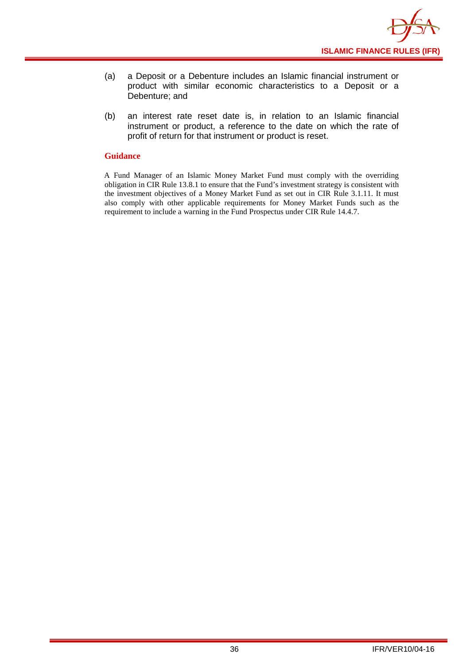

- (a) a Deposit or a Debenture includes an Islamic financial instrument or product with similar economic characteristics to a Deposit or a Debenture; and
- (b) an interest rate reset date is, in relation to an Islamic financial instrument or product, a reference to the date on which the rate of profit of return for that instrument or product is reset.

#### **Guidance**

A Fund Manager of an Islamic Money Market Fund must comply with the overriding obligation in CIR Rule 13.8.1 to ensure that the Fund's investment strategy is consistent with the investment objectives of a Money Market Fund as set out in CIR Rule 3.1.11. It must also comply with other applicable requirements for Money Market Funds such as the requirement to include a warning in the Fund Prospectus under CIR Rule 14.4.7.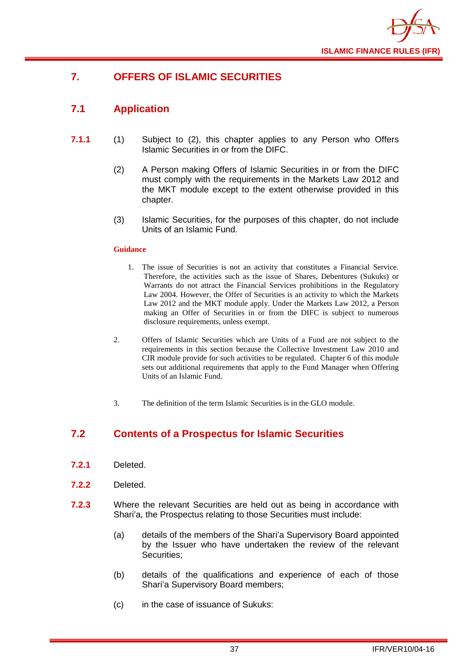

## <span id="page-39-0"></span>**7. OFFERS OF ISLAMIC SECURITIES**

## <span id="page-39-1"></span>**7.1 Application**

- **7.1.1** (1) Subject to (2), this chapter applies to any Person who Offers Islamic Securities in or from the DIFC.
	- (2) A Person making Offers of Islamic Securities in or from the DIFC must comply with the requirements in the Markets Law 2012 and the MKT module except to the extent otherwise provided in this chapter.
	- (3) Islamic Securities, for the purposes of this chapter, do not include Units of an Islamic Fund.

#### **Guidance**

- 1. The issue of Securities is not an activity that constitutes a Financial Service. Therefore, the activities such as the issue of Shares, Debentures (Sukuks) or Warrants do not attract the Financial Services prohibitions in the Regulatory Law 2004. However, the Offer of Securities is an activity to which the Markets Law 2012 and the MKT module apply. Under the Markets Law 2012, a Person making an Offer of Securities in or from the DIFC is subject to numerous disclosure requirements, unless exempt.
- 2. Offers of Islamic Securities which are Units of a Fund are not subject to the requirements in this section because the Collective Investment Law 2010 and CIR module provide for such activities to be regulated. Chapter 6 of this module sets out additional requirements that apply to the Fund Manager when Offering Units of an Islamic Fund.
- 3. The definition of the term Islamic Securities is in the GLO module.

## <span id="page-39-2"></span>**7.2 Contents of a Prospectus for Islamic Securities**

- **7.2.1** Deleted.
- **7.2.2** Deleted.
- **7.2.3** Where the relevant Securities are held out as being in accordance with Shari'a, the Prospectus relating to those Securities must include:
	- (a) details of the members of the Shari'a Supervisory Board appointed by the Issuer who have undertaken the review of the relevant Securities;
	- (b) details of the qualifications and experience of each of those Shari'a Supervisory Board members;
	- (c) in the case of issuance of Sukuks: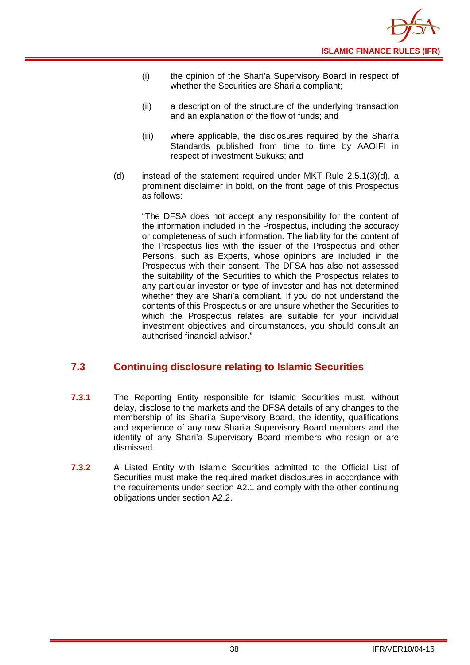- (i) the opinion of the Shari'a Supervisory Board in respect of whether the Securities are Shari'a compliant;
- (ii) a description of the structure of the underlying transaction and an explanation of the flow of funds; and
- (iii) where applicable, the disclosures required by the Shari'a Standards published from time to time by AAOIFI in respect of investment Sukuks; and
- (d) instead of the statement required under MKT Rule 2.5.1(3)(d), a prominent disclaimer in bold, on the front page of this Prospectus as follows:

"The DFSA does not accept any responsibility for the content of the information included in the Prospectus, including the accuracy or completeness of such information. The liability for the content of the Prospectus lies with the issuer of the Prospectus and other Persons, such as Experts, whose opinions are included in the Prospectus with their consent. The DFSA has also not assessed the suitability of the Securities to which the Prospectus relates to any particular investor or type of investor and has not determined whether they are Shari'a compliant. If you do not understand the contents of this Prospectus or are unsure whether the Securities to which the Prospectus relates are suitable for your individual investment objectives and circumstances, you should consult an authorised financial advisor."

## <span id="page-40-0"></span>**7.3 Continuing disclosure relating to Islamic Securities**

- **7.3.1** The Reporting Entity responsible for Islamic Securities must, without delay, disclose to the markets and the DFSA details of any changes to the membership of its Shari'a Supervisory Board, the identity, qualifications and experience of any new Shari'a Supervisory Board members and the identity of any Shari'a Supervisory Board members who resign or are dismissed.
- **7.3.2** A Listed Entity with Islamic Securities admitted to the Official List of Securities must make the required market disclosures in accordance with the requirements under section A2.1 and comply with the other continuing obligations under section A2.2.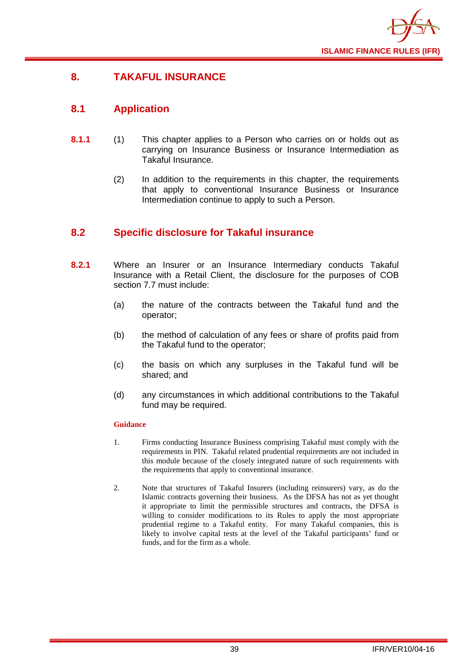

## <span id="page-41-0"></span>**8. TAKAFUL INSURANCE**

## <span id="page-41-1"></span>**8.1 Application**

- **8.1.1** (1) This chapter applies to a Person who carries on or holds out as carrying on Insurance Business or Insurance Intermediation as Takaful Insurance.
	- (2) In addition to the requirements in this chapter, the requirements that apply to conventional Insurance Business or Insurance Intermediation continue to apply to such a Person.

## <span id="page-41-2"></span>**8.2 Specific disclosure for Takaful insurance**

- **8.2.1** Where an Insurer or an Insurance Intermediary conducts Takaful Insurance with a Retail Client, the disclosure for the purposes of COB section 7.7 must include:
	- (a) the nature of the contracts between the Takaful fund and the operator;
	- (b) the method of calculation of any fees or share of profits paid from the Takaful fund to the operator;
	- (c) the basis on which any surpluses in the Takaful fund will be shared; and
	- (d) any circumstances in which additional contributions to the Takaful fund may be required.

#### **Guidance**

- 1. Firms conducting Insurance Business comprising Takaful must comply with the requirements in PIN. Takaful related prudential requirements are not included in this module because of the closely integrated nature of such requirements with the requirements that apply to conventional insurance.
- 2. Note that structures of Takaful Insurers (including reinsurers) vary, as do the Islamic contracts governing their business. As the DFSA has not as yet thought it appropriate to limit the permissible structures and contracts, the DFSA is willing to consider modifications to its Rules to apply the most appropriate prudential regime to a Takaful entity. For many Takaful companies, this is likely to involve capital tests at the level of the Takaful participants' fund or funds, and for the firm as a whole.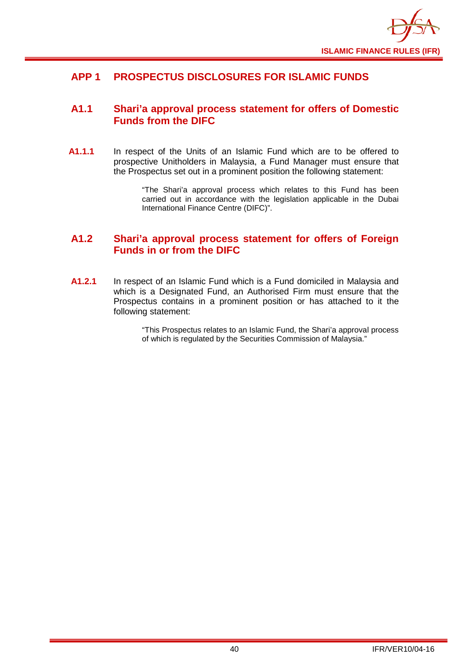

## <span id="page-42-0"></span>**APP 1 PROSPECTUS DISCLOSURES FOR ISLAMIC FUNDS**

## <span id="page-42-1"></span>**A1.1 Shari'a approval process statement for offers of Domestic Funds from the DIFC**

**A1.1.1** In respect of the Units of an Islamic Fund which are to be offered to prospective Unitholders in Malaysia, a Fund Manager must ensure that the Prospectus set out in a prominent position the following statement:

> "The Shari'a approval process which relates to this Fund has been carried out in accordance with the legislation applicable in the Dubai International Finance Centre (DIFC)".

## <span id="page-42-2"></span>**A1.2 Shari'a approval process statement for offers of Foreign Funds in or from the DIFC**

**A1.2.1** In respect of an Islamic Fund which is a Fund domiciled in Malaysia and which is a Designated Fund, an Authorised Firm must ensure that the Prospectus contains in a prominent position or has attached to it the following statement:

> "This Prospectus relates to an Islamic Fund, the Shari'a approval process of which is regulated by the Securities Commission of Malaysia."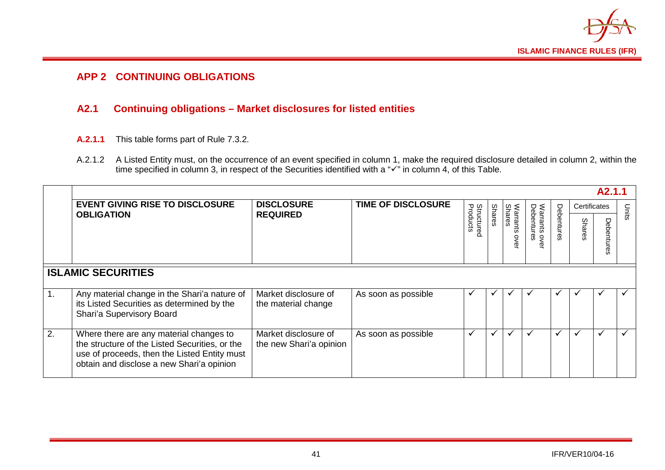

## **APP 2 CONTINUING OBLIGATIONS**

## **A2.1 Continuing obligations – Market disclosures for listed entities**

- **A.2.1.1** This table forms part of Rule 7.3.2.
- A.2.1.2 A Listed Entity must, on the occurrence of an event specified in column 1, make the required disclosure detailed in column 2, within the time specified in column 3, in respect of the Securities identified with a " $\checkmark$ " in column 4, of this Table.

<span id="page-43-1"></span><span id="page-43-0"></span>

|    | A2.1.1                                                                                                                                                                                 |                                                 |                           |                               |               |                            |                           |            |              |              |              |
|----|----------------------------------------------------------------------------------------------------------------------------------------------------------------------------------------|-------------------------------------------------|---------------------------|-------------------------------|---------------|----------------------------|---------------------------|------------|--------------|--------------|--------------|
|    | <b>EVENT GIVING RISE TO DISCLOSURE</b>                                                                                                                                                 | <b>DISCLOSURE</b><br><b>REQUIRED</b>            | <b>TIME OF DISCLOSURE</b> | <b>Structured</b><br>Products |               |                            |                           |            | Certificates |              | Units        |
|    | <b>OBLIGATION</b>                                                                                                                                                                      |                                                 |                           |                               | <b>Shares</b> | Shares<br>Warrants<br>over | Warrants ov<br>Debentures | Debentures | Shares       | Ρe<br>ā<br>ወ |              |
|    | <b>ISLAMIC SECURITIES</b>                                                                                                                                                              |                                                 |                           |                               |               |                            |                           |            |              |              |              |
| 1. | Any material change in the Shari'a nature of<br>its Listed Securities as determined by the<br>Shari'a Supervisory Board                                                                | Market disclosure of<br>the material change     | As soon as possible       |                               |               |                            |                           |            | v            | ✔            |              |
| 2. | Where there are any material changes to<br>the structure of the Listed Securities, or the<br>use of proceeds, then the Listed Entity must<br>obtain and disclose a new Shari'a opinion | Market disclosure of<br>the new Shari'a opinion | As soon as possible       | $\checkmark$                  | $\checkmark$  | v                          | $\checkmark$              | ✔          | $\checkmark$ | $\checkmark$ | $\checkmark$ |